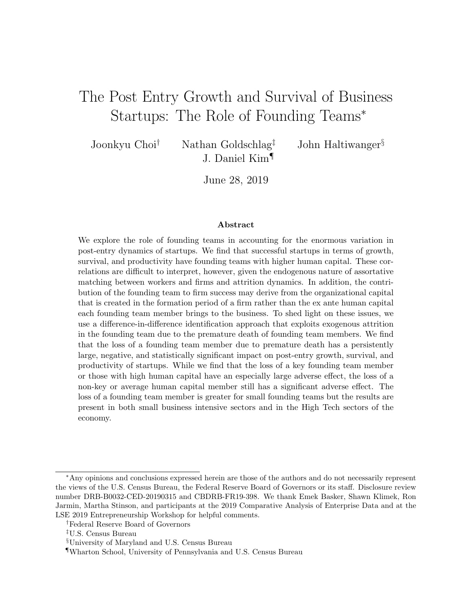# The Post Entry Growth and Survival of Business Startups: The Role of Founding Teams<sup>∗</sup>

Joonkyu Choi<sup>†</sup> Nathan Goldschlag<sup>‡</sup> John Haltiwanger<sup>§</sup> J. Daniel Kim¶

June 28, 2019

#### Abstract

We explore the role of founding teams in accounting for the enormous variation in post-entry dynamics of startups. We find that successful startups in terms of growth, survival, and productivity have founding teams with higher human capital. These correlations are difficult to interpret, however, given the endogenous nature of assortative matching between workers and firms and attrition dynamics. In addition, the contribution of the founding team to firm success may derive from the organizational capital that is created in the formation period of a firm rather than the ex ante human capital each founding team member brings to the business. To shed light on these issues, we use a difference-in-difference identification approach that exploits exogenous attrition in the founding team due to the premature death of founding team members. We find that the loss of a founding team member due to premature death has a persistently large, negative, and statistically significant impact on post-entry growth, survival, and productivity of startups. While we find that the loss of a key founding team member or those with high human capital have an especially large adverse effect, the loss of a non-key or average human capital member still has a significant adverse effect. The loss of a founding team member is greater for small founding teams but the results are present in both small business intensive sectors and in the High Tech sectors of the economy.

<sup>∗</sup>Any opinions and conclusions expressed herein are those of the authors and do not necessarily represent the views of the U.S. Census Bureau, the Federal Reserve Board of Governors or its staff. Disclosure review number DRB-B0032-CED-20190315 and CBDRB-FR19-398. We thank Emek Basker, Shawn Klimek, Ron Jarmin, Martha Stinson, and participants at the 2019 Comparative Analysis of Enterprise Data and at the LSE 2019 Entrepreneurship Workshop for helpful comments.

<sup>†</sup>Federal Reserve Board of Governors

<sup>‡</sup>U.S. Census Bureau

<sup>§</sup>University of Maryland and U.S. Census Bureau

<sup>¶</sup>Wharton School, University of Pennsylvania and U.S. Census Bureau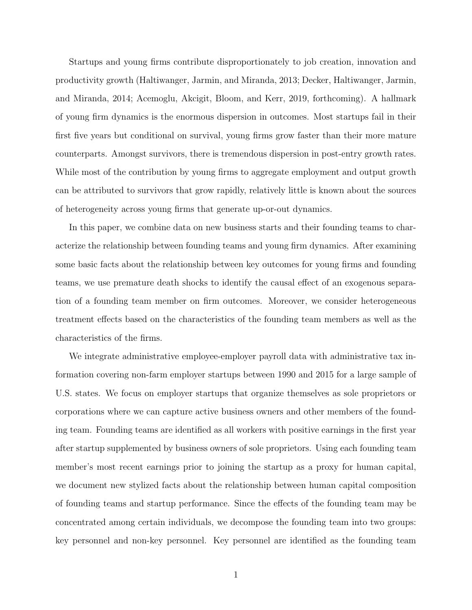Startups and young firms contribute disproportionately to job creation, innovation and productivity growth [\(Haltiwanger, Jarmin, and Miranda,](#page-31-0) [2013;](#page-31-0) [Decker, Haltiwanger, Jarmin,](#page-30-0) [and Miranda,](#page-30-0) [2014;](#page-30-0) [Acemoglu, Akcigit, Bloom, and Kerr,](#page-30-1) [2019, forthcoming\)](#page-30-1). A hallmark of young firm dynamics is the enormous dispersion in outcomes. Most startups fail in their first five years but conditional on survival, young firms grow faster than their more mature counterparts. Amongst survivors, there is tremendous dispersion in post-entry growth rates. While most of the contribution by young firms to aggregate employment and output growth can be attributed to survivors that grow rapidly, relatively little is known about the sources of heterogeneity across young firms that generate up-or-out dynamics.

In this paper, we combine data on new business starts and their founding teams to characterize the relationship between founding teams and young firm dynamics. After examining some basic facts about the relationship between key outcomes for young firms and founding teams, we use premature death shocks to identify the causal effect of an exogenous separation of a founding team member on firm outcomes. Moreover, we consider heterogeneous treatment effects based on the characteristics of the founding team members as well as the characteristics of the firms.

We integrate administrative employee-employer payroll data with administrative tax information covering non-farm employer startups between 1990 and 2015 for a large sample of U.S. states. We focus on employer startups that organize themselves as sole proprietors or corporations where we can capture active business owners and other members of the founding team. Founding teams are identified as all workers with positive earnings in the first year after startup supplemented by business owners of sole proprietors. Using each founding team member's most recent earnings prior to joining the startup as a proxy for human capital, we document new stylized facts about the relationship between human capital composition of founding teams and startup performance. Since the effects of the founding team may be concentrated among certain individuals, we decompose the founding team into two groups: key personnel and non-key personnel. Key personnel are identified as the founding team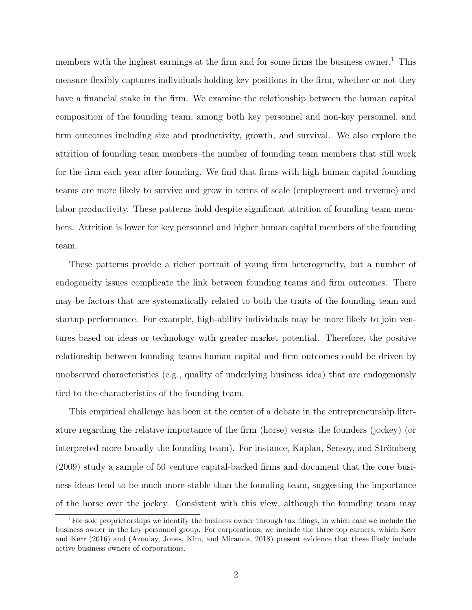members with the highest earnings at the firm and for some firms the business owner.<sup>[1](#page-2-0)</sup> This measure flexibly captures individuals holding key positions in the firm, whether or not they have a financial stake in the firm. We examine the relationship between the human capital composition of the founding team, among both key personnel and non-key personnel, and firm outcomes including size and productivity, growth, and survival. We also explore the attrition of founding team members–the number of founding team members that still work for the firm each year after founding. We find that firms with high human capital founding teams are more likely to survive and grow in terms of scale (employment and revenue) and labor productivity. These patterns hold despite significant attrition of founding team members. Attrition is lower for key personnel and higher human capital members of the founding team.

These patterns provide a richer portrait of young firm heterogeneity, but a number of endogeneity issues complicate the link between founding teams and firm outcomes. There may be factors that are systematically related to both the traits of the founding team and startup performance. For example, high-ability individuals may be more likely to join ventures based on ideas or technology with greater market potential. Therefore, the positive relationship between founding teams human capital and firm outcomes could be driven by unobserved characteristics (e.g., quality of underlying business idea) that are endogenously tied to the characteristics of the founding team.

This empirical challenge has been at the center of a debate in the entrepreneurship literature regarding the relative importance of the firm (horse) versus the founders (jockey) (or interpreted more broadly the founding team). For instance, Kaplan, Sensoy, and Strömberg [\(2009\)](#page-31-1) study a sample of 50 venture capital-backed firms and document that the core business ideas tend to be much more stable than the founding team, suggesting the importance of the horse over the jockey. Consistent with this view, although the founding team may

<span id="page-2-0"></span><sup>1</sup>For sole proprietorships we identify the business owner through tax filings, in which case we include the business owner in the key personnel group. For corporations, we include the three top earners, which [Kerr](#page-31-2) [and Kerr](#page-31-2) [\(2016\)](#page-31-2) and [\(Azoulay, Jones, Kim, and Miranda,](#page-30-2) [2018\)](#page-30-2) present evidence that these likely include active business owners of corporations.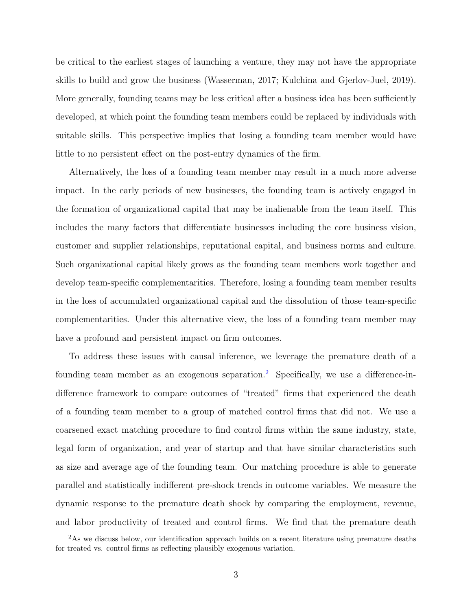be critical to the earliest stages of launching a venture, they may not have the appropriate skills to build and grow the business [\(Wasserman,](#page-32-0) [2017;](#page-32-0) [Kulchina and Gjerlov-Juel,](#page-31-3) [2019\)](#page-31-3). More generally, founding teams may be less critical after a business idea has been sufficiently developed, at which point the founding team members could be replaced by individuals with suitable skills. This perspective implies that losing a founding team member would have little to no persistent effect on the post-entry dynamics of the firm.

Alternatively, the loss of a founding team member may result in a much more adverse impact. In the early periods of new businesses, the founding team is actively engaged in the formation of organizational capital that may be inalienable from the team itself. This includes the many factors that differentiate businesses including the core business vision, customer and supplier relationships, reputational capital, and business norms and culture. Such organizational capital likely grows as the founding team members work together and develop team-specific complementarities. Therefore, losing a founding team member results in the loss of accumulated organizational capital and the dissolution of those team-specific complementarities. Under this alternative view, the loss of a founding team member may have a profound and persistent impact on firm outcomes.

To address these issues with causal inference, we leverage the premature death of a founding team member as an exogenous separation.<sup>[2](#page-3-0)</sup> Specifically, we use a difference-indifference framework to compare outcomes of "treated" firms that experienced the death of a founding team member to a group of matched control firms that did not. We use a coarsened exact matching procedure to find control firms within the same industry, state, legal form of organization, and year of startup and that have similar characteristics such as size and average age of the founding team. Our matching procedure is able to generate parallel and statistically indifferent pre-shock trends in outcome variables. We measure the dynamic response to the premature death shock by comparing the employment, revenue, and labor productivity of treated and control firms. We find that the premature death

<span id="page-3-0"></span><sup>&</sup>lt;sup>2</sup>As we discuss below, our identification approach builds on a recent literature using premature deaths for treated vs. control firms as reflecting plausibly exogenous variation.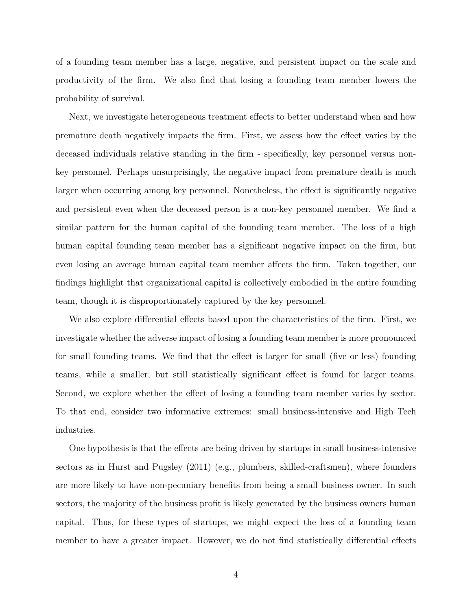of a founding team member has a large, negative, and persistent impact on the scale and productivity of the firm. We also find that losing a founding team member lowers the probability of survival.

Next, we investigate heterogeneous treatment effects to better understand when and how premature death negatively impacts the firm. First, we assess how the effect varies by the deceased individuals relative standing in the firm - specifically, key personnel versus nonkey personnel. Perhaps unsurprisingly, the negative impact from premature death is much larger when occurring among key personnel. Nonetheless, the effect is significantly negative and persistent even when the deceased person is a non-key personnel member. We find a similar pattern for the human capital of the founding team member. The loss of a high human capital founding team member has a significant negative impact on the firm, but even losing an average human capital team member affects the firm. Taken together, our findings highlight that organizational capital is collectively embodied in the entire founding team, though it is disproportionately captured by the key personnel.

We also explore differential effects based upon the characteristics of the firm. First, we investigate whether the adverse impact of losing a founding team member is more pronounced for small founding teams. We find that the effect is larger for small (five or less) founding teams, while a smaller, but still statistically significant effect is found for larger teams. Second, we explore whether the effect of losing a founding team member varies by sector. To that end, consider two informative extremes: small business-intensive and High Tech industries.

One hypothesis is that the effects are being driven by startups in small business-intensive sectors as in [Hurst and Pugsley](#page-31-4) [\(2011\)](#page-31-4) (e.g., plumbers, skilled-craftsmen), where founders are more likely to have non-pecuniary benefits from being a small business owner. In such sectors, the majority of the business profit is likely generated by the business owners human capital. Thus, for these types of startups, we might expect the loss of a founding team member to have a greater impact. However, we do not find statistically differential effects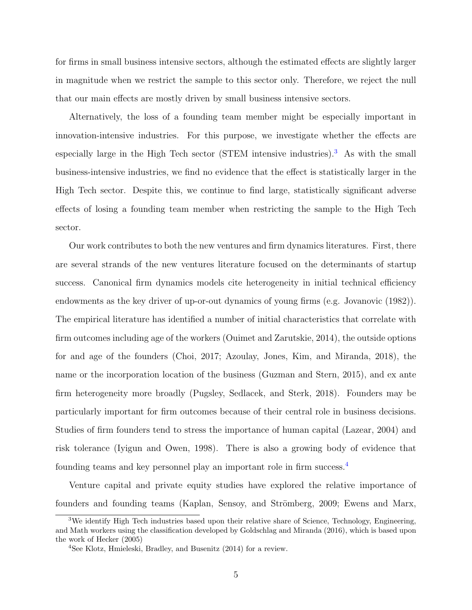for firms in small business intensive sectors, although the estimated effects are slightly larger in magnitude when we restrict the sample to this sector only. Therefore, we reject the null that our main effects are mostly driven by small business intensive sectors.

Alternatively, the loss of a founding team member might be especially important in innovation-intensive industries. For this purpose, we investigate whether the effects are especially large in the High Tech sector (STEM intensive industries).<sup>[3](#page-5-0)</sup> As with the small business-intensive industries, we find no evidence that the effect is statistically larger in the High Tech sector. Despite this, we continue to find large, statistically significant adverse effects of losing a founding team member when restricting the sample to the High Tech sector.

Our work contributes to both the new ventures and firm dynamics literatures. First, there are several strands of the new ventures literature focused on the determinants of startup success. Canonical firm dynamics models cite heterogeneity in initial technical efficiency endowments as the key driver of up-or-out dynamics of young firms (e.g. [Jovanovic](#page-31-5) [\(1982\)](#page-31-5)). The empirical literature has identified a number of initial characteristics that correlate with firm outcomes including age of the workers [\(Ouimet and Zarutskie,](#page-32-1) [2014\)](#page-32-1), the outside options for and age of the founders [\(Choi,](#page-30-3) [2017;](#page-30-3) [Azoulay, Jones, Kim, and Miranda,](#page-30-2) [2018\)](#page-30-2), the name or the incorporation location of the business [\(Guzman and Stern,](#page-31-6) [2015\)](#page-31-6), and ex ante firm heterogeneity more broadly [\(Pugsley, Sedlacek, and Sterk,](#page-32-2) [2018\)](#page-32-2). Founders may be particularly important for firm outcomes because of their central role in business decisions. Studies of firm founders tend to stress the importance of human capital [\(Lazear,](#page-31-7) [2004\)](#page-31-7) and risk tolerance [\(Iyigun and Owen,](#page-31-8) [1998\)](#page-31-8). There is also a growing body of evidence that founding teams and key personnel play an important role in firm success.[4](#page-5-1)

Venture capital and private equity studies have explored the relative importance of founders and founding teams (Kaplan, Sensoy, and Strömberg, [2009;](#page-31-1) [Ewens and Marx,](#page-30-4)

<span id="page-5-0"></span><sup>3</sup>We identify High Tech industries based upon their relative share of Science, Technology, Engineering, and Math workers using the classification developed by [Goldschlag and Miranda](#page-31-9) [\(2016\)](#page-31-9), which is based upon the work of [Hecker](#page-31-10) [\(2005\)](#page-31-10)

<span id="page-5-1"></span><sup>4</sup>See [Klotz, Hmieleski, Bradley, and Busenitz](#page-31-11) [\(2014\)](#page-31-11) for a review.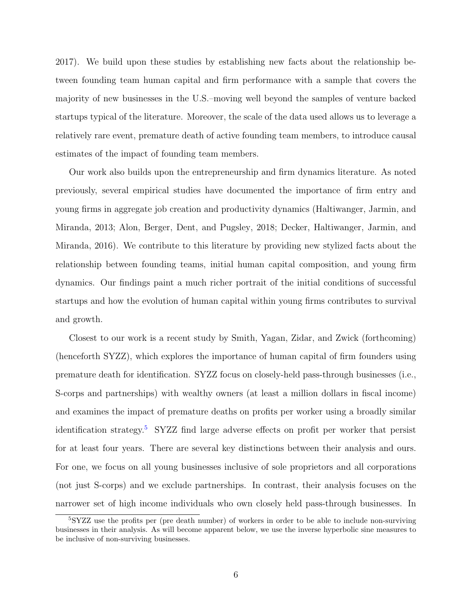[2017\)](#page-30-4). We build upon these studies by establishing new facts about the relationship between founding team human capital and firm performance with a sample that covers the majority of new businesses in the U.S.–moving well beyond the samples of venture backed startups typical of the literature. Moreover, the scale of the data used allows us to leverage a relatively rare event, premature death of active founding team members, to introduce causal estimates of the impact of founding team members.

Our work also builds upon the entrepreneurship and firm dynamics literature. As noted previously, several empirical studies have documented the importance of firm entry and young firms in aggregate job creation and productivity dynamics [\(Haltiwanger, Jarmin, and](#page-31-0) [Miranda,](#page-31-0) [2013;](#page-31-0) [Alon, Berger, Dent, and Pugsley,](#page-30-5) [2018;](#page-30-5) [Decker, Haltiwanger, Jarmin, and](#page-30-6) [Miranda,](#page-30-6) [2016\)](#page-30-6). We contribute to this literature by providing new stylized facts about the relationship between founding teams, initial human capital composition, and young firm dynamics. Our findings paint a much richer portrait of the initial conditions of successful startups and how the evolution of human capital within young firms contributes to survival and growth.

Closest to our work is a recent study by [Smith, Yagan, Zidar, and Zwick](#page-32-3) [\(forthcoming\)](#page-32-3) (henceforth SYZZ), which explores the importance of human capital of firm founders using premature death for identification. SYZZ focus on closely-held pass-through businesses (i.e., S-corps and partnerships) with wealthy owners (at least a million dollars in fiscal income) and examines the impact of premature deaths on profits per worker using a broadly similar identification strategy.<sup>[5](#page-6-0)</sup> SYZZ find large adverse effects on profit per worker that persist for at least four years. There are several key distinctions between their analysis and ours. For one, we focus on all young businesses inclusive of sole proprietors and all corporations (not just S-corps) and we exclude partnerships. In contrast, their analysis focuses on the narrower set of high income individuals who own closely held pass-through businesses. In

<span id="page-6-0"></span><sup>5</sup>SYZZ use the profits per (pre death number) of workers in order to be able to include non-surviving businesses in their analysis. As will become apparent below, we use the inverse hyperbolic sine measures to be inclusive of non-surviving businesses.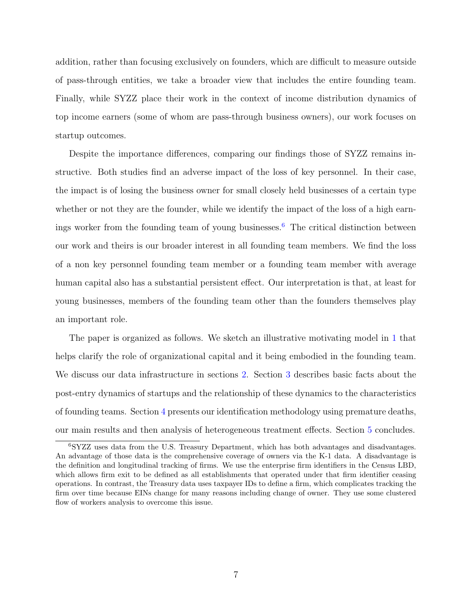addition, rather than focusing exclusively on founders, which are difficult to measure outside of pass-through entities, we take a broader view that includes the entire founding team. Finally, while SYZZ place their work in the context of income distribution dynamics of top income earners (some of whom are pass-through business owners), our work focuses on startup outcomes.

Despite the importance differences, comparing our findings those of SYZZ remains instructive. Both studies find an adverse impact of the loss of key personnel. In their case, the impact is of losing the business owner for small closely held businesses of a certain type whether or not they are the founder, while we identify the impact of the loss of a high earn-ings worker from the founding team of young businesses.<sup>[6](#page-7-0)</sup> The critical distinction between our work and theirs is our broader interest in all founding team members. We find the loss of a non key personnel founding team member or a founding team member with average human capital also has a substantial persistent effect. Our interpretation is that, at least for young businesses, members of the founding team other than the founders themselves play an important role.

The paper is organized as follows. We sketch an illustrative motivating model in [1](#page-8-0) that helps clarify the role of organizational capital and it being embodied in the founding team. We discuss our data infrastructure in sections [2.](#page-12-0) Section [3](#page-15-0) describes basic facts about the post-entry dynamics of startups and the relationship of these dynamics to the characteristics of founding teams. Section [4](#page-17-0) presents our identification methodology using premature deaths, our main results and then analysis of heterogeneous treatment effects. Section [5](#page-27-0) concludes.

<span id="page-7-0"></span><sup>6</sup>SYZZ uses data from the U.S. Treasury Department, which has both advantages and disadvantages. An advantage of those data is the comprehensive coverage of owners via the K-1 data. A disadvantage is the definition and longitudinal tracking of firms. We use the enterprise firm identifiers in the Census LBD, which allows firm exit to be defined as all establishments that operated under that firm identifier ceasing operations. In contrast, the Treasury data uses taxpayer IDs to define a firm, which complicates tracking the firm over time because EINs change for many reasons including change of owner. They use some clustered flow of workers analysis to overcome this issue.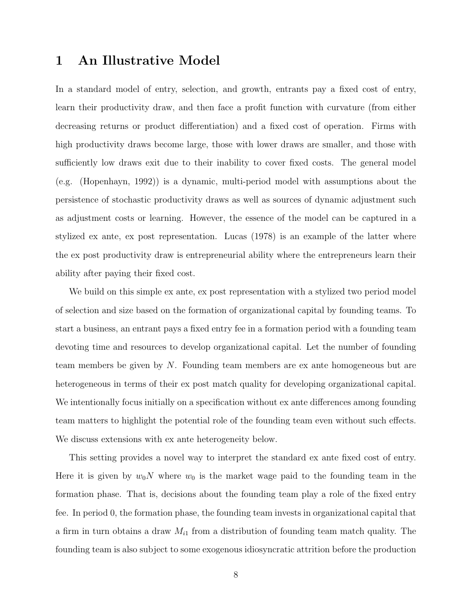### <span id="page-8-0"></span>1 An Illustrative Model

In a standard model of entry, selection, and growth, entrants pay a fixed cost of entry, learn their productivity draw, and then face a profit function with curvature (from either decreasing returns or product differentiation) and a fixed cost of operation. Firms with high productivity draws become large, those with lower draws are smaller, and those with sufficiently low draws exit due to their inability to cover fixed costs. The general model (e.g. [\(Hopenhayn,](#page-31-12) [1992\)](#page-31-12)) is a dynamic, multi-period model with assumptions about the persistence of stochastic productivity draws as well as sources of dynamic adjustment such as adjustment costs or learning. However, the essence of the model can be captured in a stylized ex ante, ex post representation. [Lucas](#page-32-4) [\(1978\)](#page-32-4) is an example of the latter where the ex post productivity draw is entrepreneurial ability where the entrepreneurs learn their ability after paying their fixed cost.

We build on this simple ex ante, ex post representation with a stylized two period model of selection and size based on the formation of organizational capital by founding teams. To start a business, an entrant pays a fixed entry fee in a formation period with a founding team devoting time and resources to develop organizational capital. Let the number of founding team members be given by N. Founding team members are ex ante homogeneous but are heterogeneous in terms of their ex post match quality for developing organizational capital. We intentionally focus initially on a specification without ex ante differences among founding team matters to highlight the potential role of the founding team even without such effects. We discuss extensions with ex ante heterogeneity below.

This setting provides a novel way to interpret the standard ex ante fixed cost of entry. Here it is given by  $w_0N$  where  $w_0$  is the market wage paid to the founding team in the formation phase. That is, decisions about the founding team play a role of the fixed entry fee. In period 0, the formation phase, the founding team invests in organizational capital that a firm in turn obtains a draw  $M_{i1}$  from a distribution of founding team match quality. The founding team is also subject to some exogenous idiosyncratic attrition before the production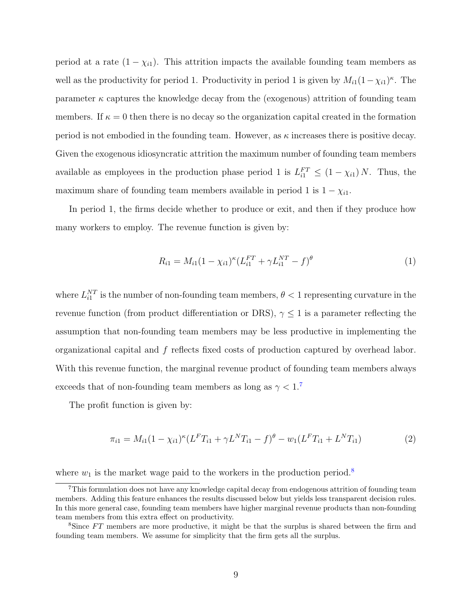period at a rate  $(1 - \chi_{i1})$ . This attrition impacts the available founding team members as well as the productivity for period 1. Productivity in period 1 is given by  $M_{i1}(1-\chi_{i1})^{\kappa}$ . The parameter  $\kappa$  captures the knowledge decay from the (exogenous) attrition of founding team members. If  $\kappa = 0$  then there is no decay so the organization capital created in the formation period is not embodied in the founding team. However, as  $\kappa$  increases there is positive decay. Given the exogenous idiosyncratic attrition the maximum number of founding team members available as employees in the production phase period 1 is  $L_{i1}^{FT} \leq (1 - \chi_{i1}) N$ . Thus, the maximum share of founding team members available in period 1 is  $1 - \chi_{i1}$ .

In period 1, the firms decide whether to produce or exit, and then if they produce how many workers to employ. The revenue function is given by:

$$
R_{i1} = M_{i1}(1 - \chi_{i1})^{\kappa} (L_{i1}^{FT} + \gamma L_{i1}^{NT} - f)^{\theta}
$$
\n(1)

where  $L_{i1}^{NT}$  is the number of non-founding team members,  $\theta < 1$  representing curvature in the revenue function (from product differentiation or DRS),  $\gamma \leq 1$  is a parameter reflecting the assumption that non-founding team members may be less productive in implementing the organizational capital and f reflects fixed costs of production captured by overhead labor. With this revenue function, the marginal revenue product of founding team members always exceeds that of non-founding team members as long as  $\gamma < 1.^7$  $\gamma < 1.^7$ 

The profit function is given by:

$$
\pi_{i1} = M_{i1}(1 - \chi_{i1})^{\kappa} (L^F T_{i1} + \gamma L^N T_{i1} - f)^{\theta} - w_1 (L^F T_{i1} + L^N T_{i1})
$$
\n(2)

where  $w_1$  is the market wage paid to the workers in the production period.<sup>[8](#page-9-1)</sup>

<span id="page-9-0"></span><sup>7</sup>This formulation does not have any knowledge capital decay from endogenous attrition of founding team members. Adding this feature enhances the results discussed below but yields less transparent decision rules. In this more general case, founding team members have higher marginal revenue products than non-founding team members from this extra effect on productivity.

<span id="page-9-1"></span><sup>&</sup>lt;sup>8</sup>Since  $FT$  members are more productive, it might be that the surplus is shared between the firm and founding team members. We assume for simplicity that the firm gets all the surplus.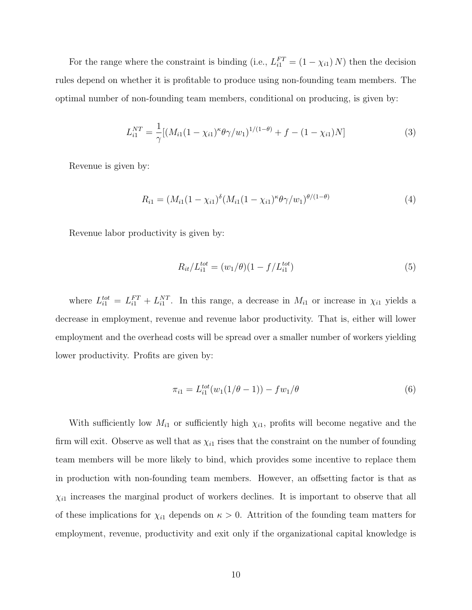For the range where the constraint is binding (i.e.,  $L_{i1}^{FT} = (1 - \chi_{i1}) N$ ) then the decision rules depend on whether it is profitable to produce using non-founding team members. The optimal number of non-founding team members, conditional on producing, is given by:

$$
L_{i1}^{NT} = \frac{1}{\gamma} [(M_{i1}(1 - \chi_{i1})^{\kappa} \theta \gamma / w_1)^{1/(1 - \theta)} + f - (1 - \chi_{i1}) N] \tag{3}
$$

Revenue is given by:

$$
R_{i1} = (M_{i1}(1 - \chi_{i1})^{\delta} (M_{i1}(1 - \chi_{i1})^{\kappa} \theta \gamma / w_1)^{\theta/(1 - \theta)}
$$
\n(4)

Revenue labor productivity is given by:

$$
R_{it}/L_{i1}^{tot} = (w_1/\theta)(1 - f/L_{i1}^{tot})
$$
\n(5)

where  $L_{i1}^{tot} = L_{i1}^{FT} + L_{i1}^{NT}$ . In this range, a decrease in  $M_{i1}$  or increase in  $\chi_{i1}$  yields a decrease in employment, revenue and revenue labor productivity. That is, either will lower employment and the overhead costs will be spread over a smaller number of workers yielding lower productivity. Profits are given by:

$$
\pi_{i1} = L_{i1}^{tot}(w_1(1/\theta - 1)) - fw_1/\theta \tag{6}
$$

With sufficiently low  $M_{i1}$  or sufficiently high  $\chi_{i1}$ , profits will become negative and the firm will exit. Observe as well that as  $\chi_{i1}$  rises that the constraint on the number of founding team members will be more likely to bind, which provides some incentive to replace them in production with non-founding team members. However, an offsetting factor is that as  $\chi_{i1}$  increases the marginal product of workers declines. It is important to observe that all of these implications for  $\chi_{i1}$  depends on  $\kappa > 0$ . Attrition of the founding team matters for employment, revenue, productivity and exit only if the organizational capital knowledge is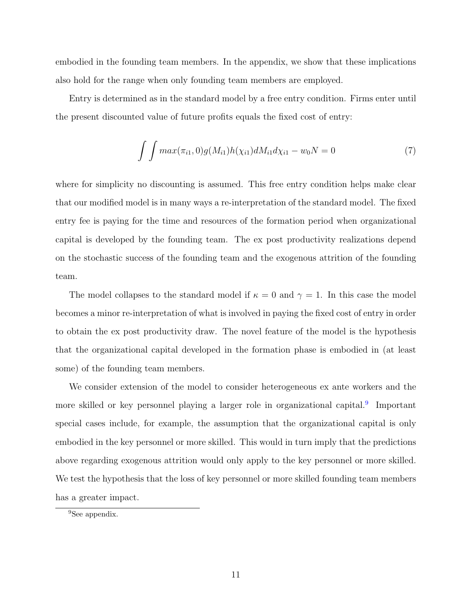embodied in the founding team members. In the appendix, we show that these implications also hold for the range when only founding team members are employed.

Entry is determined as in the standard model by a free entry condition. Firms enter until the present discounted value of future profits equals the fixed cost of entry:

$$
\int \int max(\pi_{i1}, 0) g(M_{i1}) h(\chi_{i1}) dM_{i1} d\chi_{i1} - w_0 N = 0 \tag{7}
$$

where for simplicity no discounting is assumed. This free entry condition helps make clear that our modified model is in many ways a re-interpretation of the standard model. The fixed entry fee is paying for the time and resources of the formation period when organizational capital is developed by the founding team. The ex post productivity realizations depend on the stochastic success of the founding team and the exogenous attrition of the founding team.

The model collapses to the standard model if  $\kappa = 0$  and  $\gamma = 1$ . In this case the model becomes a minor re-interpretation of what is involved in paying the fixed cost of entry in order to obtain the ex post productivity draw. The novel feature of the model is the hypothesis that the organizational capital developed in the formation phase is embodied in (at least some) of the founding team members.

We consider extension of the model to consider heterogeneous ex ante workers and the more skilled or key personnel playing a larger role in organizational capital.<sup>[9](#page-11-0)</sup> Important special cases include, for example, the assumption that the organizational capital is only embodied in the key personnel or more skilled. This would in turn imply that the predictions above regarding exogenous attrition would only apply to the key personnel or more skilled. We test the hypothesis that the loss of key personnel or more skilled founding team members has a greater impact.

<span id="page-11-0"></span><sup>9</sup>See appendix.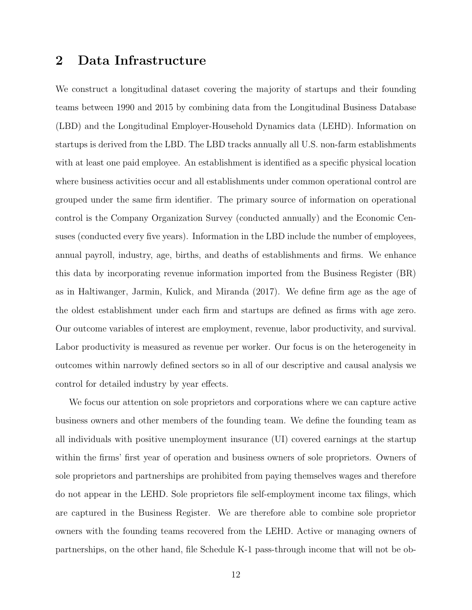### <span id="page-12-0"></span>2 Data Infrastructure

We construct a longitudinal dataset covering the majority of startups and their founding teams between 1990 and 2015 by combining data from the Longitudinal Business Database (LBD) and the Longitudinal Employer-Household Dynamics data (LEHD). Information on startups is derived from the LBD. The LBD tracks annually all U.S. non-farm establishments with at least one paid employee. An establishment is identified as a specific physical location where business activities occur and all establishments under common operational control are grouped under the same firm identifier. The primary source of information on operational control is the Company Organization Survey (conducted annually) and the Economic Censuses (conducted every five years). Information in the LBD include the number of employees, annual payroll, industry, age, births, and deaths of establishments and firms. We enhance this data by incorporating revenue information imported from the Business Register (BR) as in [Haltiwanger, Jarmin, Kulick, and Miranda](#page-31-13) [\(2017\)](#page-31-13). We define firm age as the age of the oldest establishment under each firm and startups are defined as firms with age zero. Our outcome variables of interest are employment, revenue, labor productivity, and survival. Labor productivity is measured as revenue per worker. Our focus is on the heterogeneity in outcomes within narrowly defined sectors so in all of our descriptive and causal analysis we control for detailed industry by year effects.

We focus our attention on sole proprietors and corporations where we can capture active business owners and other members of the founding team. We define the founding team as all individuals with positive unemployment insurance (UI) covered earnings at the startup within the firms' first year of operation and business owners of sole proprietors. Owners of sole proprietors and partnerships are prohibited from paying themselves wages and therefore do not appear in the LEHD. Sole proprietors file self-employment income tax filings, which are captured in the Business Register. We are therefore able to combine sole proprietor owners with the founding teams recovered from the LEHD. Active or managing owners of partnerships, on the other hand, file Schedule K-1 pass-through income that will not be ob-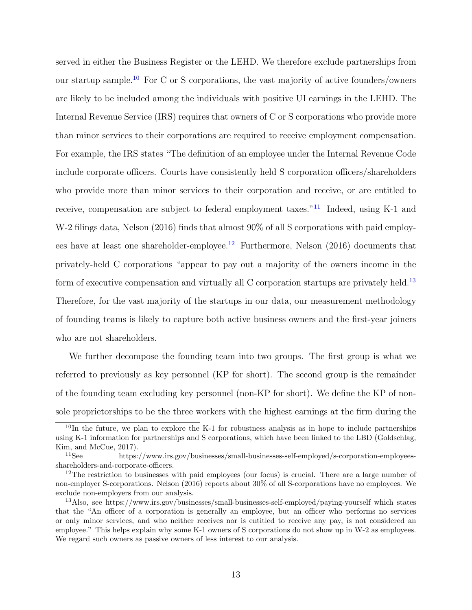served in either the Business Register or the LEHD. We therefore exclude partnerships from our startup sample.[10](#page-13-0) For C or S corporations, the vast majority of active founders/owners are likely to be included among the individuals with positive UI earnings in the LEHD. The Internal Revenue Service (IRS) requires that owners of C or S corporations who provide more than minor services to their corporations are required to receive employment compensation. For example, the IRS states "The definition of an employee under the Internal Revenue Code include corporate officers. Courts have consistently held S corporation officers/shareholders who provide more than minor services to their corporation and receive, or are entitled to receive, compensation are subject to federal employment taxes."<sup>[11](#page-13-1)</sup> Indeed, using K-1 and W-2 filings data, [Nelson](#page-32-5) [\(2016\)](#page-32-5) finds that almost 90% of all S corporations with paid employ-ees have at least one shareholder-employee.<sup>[12](#page-13-2)</sup> Furthermore, [Nelson](#page-32-5)  $(2016)$  documents that privately-held C corporations "appear to pay out a majority of the owners income in the form of executive compensation and virtually all C corporation startups are privately held.<sup>[13](#page-13-3)</sup> Therefore, for the vast majority of the startups in our data, our measurement methodology of founding teams is likely to capture both active business owners and the first-year joiners who are not shareholders.

We further decompose the founding team into two groups. The first group is what we referred to previously as key personnel (KP for short). The second group is the remainder of the founding team excluding key personnel (non-KP for short). We define the KP of nonsole proprietorships to be the three workers with the highest earnings at the firm during the

<span id="page-13-0"></span> $10$ In the future, we plan to explore the K-1 for robustness analysis as in hope to include partnerships using K-1 information for partnerships and S corporations, which have been linked to the LBD [\(Goldschlag,](#page-30-7) [Kim, and McCue,](#page-30-7) [2017\)](#page-30-7).

<span id="page-13-1"></span><sup>11</sup>See https://www.irs.gov/businesses/small-businesses-self-employed/s-corporation-employeesshareholders-and-corporate-officers.

<span id="page-13-2"></span><sup>&</sup>lt;sup>12</sup>The restriction to businesses with paid employees (our focus) is crucial. There are a large number of non-employer S-corporations. [Nelson](#page-32-5) [\(2016\)](#page-32-5) reports about 30% of all S-corporations have no employees. We exclude non-employers from our analysis.

<span id="page-13-3"></span><sup>13</sup>Also, see https://www.irs.gov/businesses/small-businesses-self-employed/paying-yourself which states that the "An officer of a corporation is generally an employee, but an officer who performs no services or only minor services, and who neither receives nor is entitled to receive any pay, is not considered an employee." This helps explain why some K-1 owners of S corporations do not show up in W-2 as employees. We regard such owners as passive owners of less interest to our analysis.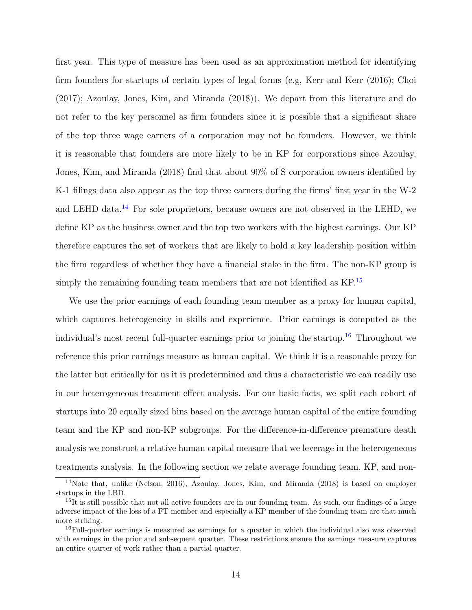first year. This type of measure has been used as an approximation method for identifying firm founders for startups of certain types of legal forms (e.g, [Kerr and Kerr](#page-31-2) [\(2016\)](#page-31-2); [Choi](#page-30-3) [\(2017\)](#page-30-3); [Azoulay, Jones, Kim, and Miranda](#page-30-2) [\(2018\)](#page-30-2)). We depart from this literature and do not refer to the key personnel as firm founders since it is possible that a significant share of the top three wage earners of a corporation may not be founders. However, we think it is reasonable that founders are more likely to be in KP for corporations since [Azoulay,](#page-30-2) [Jones, Kim, and Miranda](#page-30-2) [\(2018\)](#page-30-2) find that about 90% of S corporation owners identified by K-1 filings data also appear as the top three earners during the firms' first year in the W-2 and LEHD data.[14](#page-14-0) For sole proprietors, because owners are not observed in the LEHD, we define KP as the business owner and the top two workers with the highest earnings. Our KP therefore captures the set of workers that are likely to hold a key leadership position within the firm regardless of whether they have a financial stake in the firm. The non-KP group is simply the remaining founding team members that are not identified as  $KP$ <sup>[15](#page-14-1)</sup>

We use the prior earnings of each founding team member as a proxy for human capital, which captures heterogeneity in skills and experience. Prior earnings is computed as the individual's most recent full-quarter earnings prior to joining the startup.<sup>[16](#page-14-2)</sup> Throughout we reference this prior earnings measure as human capital. We think it is a reasonable proxy for the latter but critically for us it is predetermined and thus a characteristic we can readily use in our heterogeneous treatment effect analysis. For our basic facts, we split each cohort of startups into 20 equally sized bins based on the average human capital of the entire founding team and the KP and non-KP subgroups. For the difference-in-difference premature death analysis we construct a relative human capital measure that we leverage in the heterogeneous treatments analysis. In the following section we relate average founding team, KP, and non-

<span id="page-14-0"></span><sup>&</sup>lt;sup>14</sup>Note that, unlike [\(Nelson,](#page-32-5) [2016\)](#page-32-5), [Azoulay, Jones, Kim, and Miranda](#page-30-2) [\(2018\)](#page-30-2) is based on employer startups in the LBD.

<span id="page-14-1"></span><sup>&</sup>lt;sup>15</sup>It is still possible that not all active founders are in our founding team. As such, our findings of a large adverse impact of the loss of a FT member and especially a KP member of the founding team are that much more striking.

<span id="page-14-2"></span><sup>&</sup>lt;sup>16</sup>Full-quarter earnings is measured as earnings for a quarter in which the individual also was observed with earnings in the prior and subsequent quarter. These restrictions ensure the earnings measure captures an entire quarter of work rather than a partial quarter.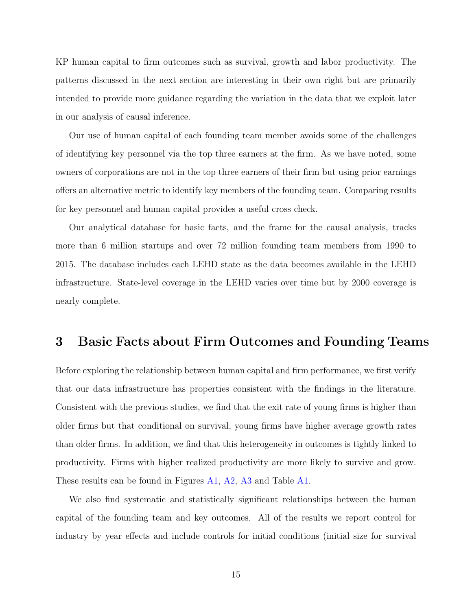KP human capital to firm outcomes such as survival, growth and labor productivity. The patterns discussed in the next section are interesting in their own right but are primarily intended to provide more guidance regarding the variation in the data that we exploit later in our analysis of causal inference.

Our use of human capital of each founding team member avoids some of the challenges of identifying key personnel via the top three earners at the firm. As we have noted, some owners of corporations are not in the top three earners of their firm but using prior earnings offers an alternative metric to identify key members of the founding team. Comparing results for key personnel and human capital provides a useful cross check.

Our analytical database for basic facts, and the frame for the causal analysis, tracks more than 6 million startups and over 72 million founding team members from 1990 to 2015. The database includes each LEHD state as the data becomes available in the LEHD infrastructure. State-level coverage in the LEHD varies over time but by 2000 coverage is nearly complete.

#### <span id="page-15-0"></span>3 Basic Facts about Firm Outcomes and Founding Teams

Before exploring the relationship between human capital and firm performance, we first verify that our data infrastructure has properties consistent with the findings in the literature. Consistent with the previous studies, we find that the exit rate of young firms is higher than older firms but that conditional on survival, young firms have higher average growth rates than older firms. In addition, we find that this heterogeneity in outcomes is tightly linked to productivity. Firms with higher realized productivity are more likely to survive and grow. These results can be found in Figures [A1,](#page-50-0) [A2,](#page-51-0) [A3](#page-51-1) and Table [A1.](#page-50-1)

We also find systematic and statistically significant relationships between the human capital of the founding team and key outcomes. All of the results we report control for industry by year effects and include controls for initial conditions (initial size for survival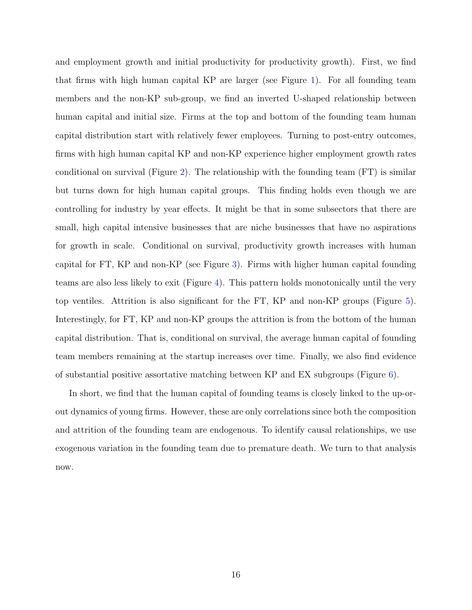and employment growth and initial productivity for productivity growth). First, we find that firms with high human capital KP are larger (see Figure [1\)](#page-33-0). For all founding team members and the non-KP sub-group, we find an inverted U-shaped relationship between human capital and initial size. Firms at the top and bottom of the founding team human capital distribution start with relatively fewer employees. Turning to post-entry outcomes, firms with high human capital KP and non-KP experience higher employment growth rates conditional on survival (Figure [2\)](#page-33-1). The relationship with the founding team (FT) is similar but turns down for high human capital groups. This finding holds even though we are controlling for industry by year effects. It might be that in some subsectors that there are small, high capital intensive businesses that are niche businesses that have no aspirations for growth in scale. Conditional on survival, productivity growth increases with human capital for FT, KP and non-KP (see Figure [3\)](#page-34-0). Firms with higher human capital founding teams are also less likely to exit (Figure [4\)](#page-34-1). This pattern holds monotonically until the very top ventiles. Attrition is also significant for the FT, KP and non-KP groups (Figure [5\)](#page-35-0). Interestingly, for FT, KP and non-KP groups the attrition is from the bottom of the human capital distribution. That is, conditional on survival, the average human capital of founding team members remaining at the startup increases over time. Finally, we also find evidence of substantial positive assortative matching between KP and EX subgroups (Figure  $6$ ).

In short, we find that the human capital of founding teams is closely linked to the up-orout dynamics of young firms. However, these are only correlations since both the composition and attrition of the founding team are endogenous. To identify causal relationships, we use exogenous variation in the founding team due to premature death. We turn to that analysis now.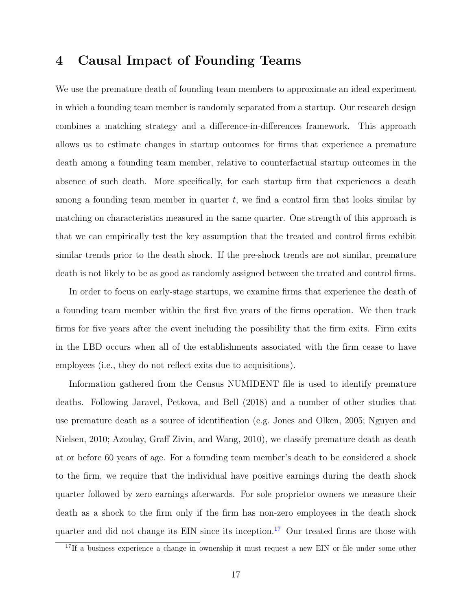### <span id="page-17-0"></span>4 Causal Impact of Founding Teams

We use the premature death of founding team members to approximate an ideal experiment in which a founding team member is randomly separated from a startup. Our research design combines a matching strategy and a difference-in-differences framework. This approach allows us to estimate changes in startup outcomes for firms that experience a premature death among a founding team member, relative to counterfactual startup outcomes in the absence of such death. More specifically, for each startup firm that experiences a death among a founding team member in quarter  $t$ , we find a control firm that looks similar by matching on characteristics measured in the same quarter. One strength of this approach is that we can empirically test the key assumption that the treated and control firms exhibit similar trends prior to the death shock. If the pre-shock trends are not similar, premature death is not likely to be as good as randomly assigned between the treated and control firms.

In order to focus on early-stage startups, we examine firms that experience the death of a founding team member within the first five years of the firms operation. We then track firms for five years after the event including the possibility that the firm exits. Firm exits in the LBD occurs when all of the establishments associated with the firm cease to have employees (i.e., they do not reflect exits due to acquisitions).

Information gathered from the Census NUMIDENT file is used to identify premature deaths. Following [Jaravel, Petkova, and Bell](#page-31-14) [\(2018\)](#page-31-14) and a number of other studies that use premature death as a source of identification (e.g. [Jones and Olken,](#page-31-15) [2005;](#page-31-15) [Nguyen and](#page-32-6) [Nielsen,](#page-32-6) [2010;](#page-32-6) [Azoulay, Graff Zivin, and Wang,](#page-30-8) [2010\)](#page-30-8), we classify premature death as death at or before 60 years of age. For a founding team member's death to be considered a shock to the firm, we require that the individual have positive earnings during the death shock quarter followed by zero earnings afterwards. For sole proprietor owners we measure their death as a shock to the firm only if the firm has non-zero employees in the death shock quarter and did not change its EIN since its inception.<sup>[17](#page-17-1)</sup> Our treated firms are those with

<span id="page-17-1"></span> $17$ If a business experience a change in ownership it must request a new EIN or file under some other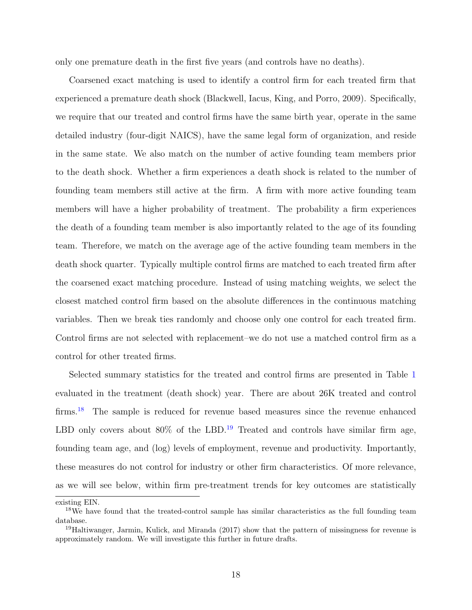only one premature death in the first five years (and controls have no deaths).

Coarsened exact matching is used to identify a control firm for each treated firm that experienced a premature death shock [\(Blackwell, Iacus, King, and Porro,](#page-30-9) [2009\)](#page-30-9). Specifically, we require that our treated and control firms have the same birth year, operate in the same detailed industry (four-digit NAICS), have the same legal form of organization, and reside in the same state. We also match on the number of active founding team members prior to the death shock. Whether a firm experiences a death shock is related to the number of founding team members still active at the firm. A firm with more active founding team members will have a higher probability of treatment. The probability a firm experiences the death of a founding team member is also importantly related to the age of its founding team. Therefore, we match on the average age of the active founding team members in the death shock quarter. Typically multiple control firms are matched to each treated firm after the coarsened exact matching procedure. Instead of using matching weights, we select the closest matched control firm based on the absolute differences in the continuous matching variables. Then we break ties randomly and choose only one control for each treated firm. Control firms are not selected with replacement–we do not use a matched control firm as a control for other treated firms.

Selected summary statistics for the treated and control firms are presented in Table [1](#page-40-0) evaluated in the treatment (death shock) year. There are about 26K treated and control firms.<sup>[18](#page-18-0)</sup> The sample is reduced for revenue based measures since the revenue enhanced LBD only covers about  $80\%$  of the LBD.<sup>[19](#page-18-1)</sup> Treated and controls have similar firm age, founding team age, and (log) levels of employment, revenue and productivity. Importantly, these measures do not control for industry or other firm characteristics. Of more relevance, as we will see below, within firm pre-treatment trends for key outcomes are statistically

existing EIN.

<span id="page-18-0"></span><sup>&</sup>lt;sup>18</sup>We have found that the treated-control sample has similar characteristics as the full founding team database.

<span id="page-18-1"></span><sup>&</sup>lt;sup>19</sup>[Haltiwanger, Jarmin, Kulick, and Miranda](#page-31-13) [\(2017\)](#page-31-13) show that the pattern of missingness for revenue is approximately random. We will investigate this further in future drafts.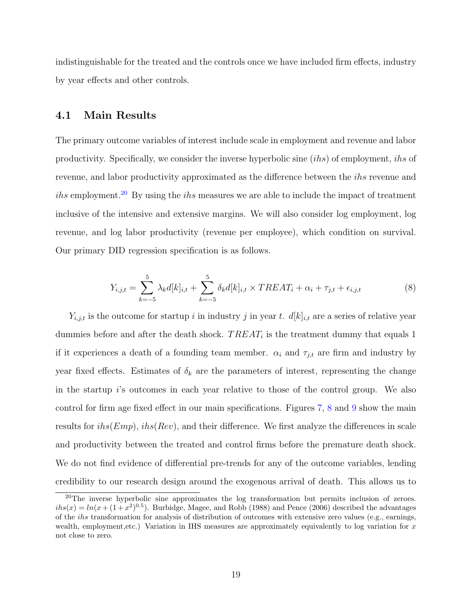indistinguishable for the treated and the controls once we have included firm effects, industry by year effects and other controls.

#### 4.1 Main Results

The primary outcome variables of interest include scale in employment and revenue and labor productivity. Specifically, we consider the inverse hyperbolic sine (ihs) of employment, ihs of revenue, and labor productivity approximated as the difference between the ihs revenue and ihs employment.<sup>[20](#page-19-0)</sup> By using the ihs measures we are able to include the impact of treatment inclusive of the intensive and extensive margins. We will also consider log employment, log revenue, and log labor productivity (revenue per employee), which condition on survival. Our primary DID regression specification is as follows.

<span id="page-19-1"></span>
$$
Y_{i,j,t} = \sum_{k=-5}^{5} \lambda_k d[k]_{i,t} + \sum_{k=-5}^{5} \delta_k d[k]_{i,t} \times TREAT_i + \alpha_i + \tau_{j,t} + \epsilon_{i,j,t}
$$
(8)

 $Y_{i,j,t}$  is the outcome for startup i in industry j in year t.  $d[k]_{i,t}$  are a series of relative year dummies before and after the death shock.  $TREAT_i$  is the treatment dummy that equals 1 if it experiences a death of a founding team member.  $\alpha_i$  and  $\tau_{j,t}$  are firm and industry by year fixed effects. Estimates of  $\delta_k$  are the parameters of interest, representing the change in the startup i's outcomes in each year relative to those of the control group. We also control for firm age fixed effect in our main specifications. Figures [7,](#page-36-0) [8](#page-36-1) and [9](#page-37-0) show the main results for  $i\hbar s(Emp)$ ,  $i\hbar s(Rev)$ , and their difference. We first analyze the differences in scale and productivity between the treated and control firms before the premature death shock. We do not find evidence of differential pre-trends for any of the outcome variables, lending credibility to our research design around the exogenous arrival of death. This allows us to

<span id="page-19-0"></span><sup>&</sup>lt;sup>20</sup>The inverse hyperbolic sine approximates the log transformation but permits inclusion of zeroes.  $i\hbar s(x) = \ln(x + (1 + x^2)^{0.5})$ . [Burbidge, Magee, and Robb](#page-30-10) [\(1988\)](#page-30-10) and [Pence](#page-32-7) [\(2006\)](#page-32-7) described the advantages of the ihs transformation for analysis of distribution of outcomes with extensive zero values (e.g., earnings, wealth, employment, etc.) Variation in IHS measures are approximately equivalently to log variation for  $x$ not close to zero.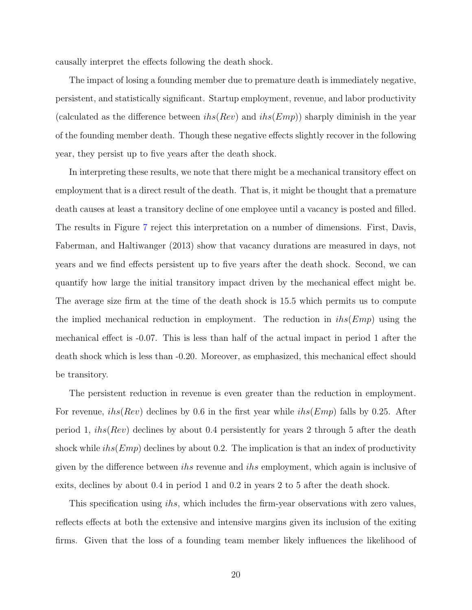causally interpret the effects following the death shock.

The impact of losing a founding member due to premature death is immediately negative, persistent, and statistically significant. Startup employment, revenue, and labor productivity (calculated as the difference between  $i\hbar s(Rev)$  and  $i\hbar s(Emp)$ ) sharply diminish in the year of the founding member death. Though these negative effects slightly recover in the following year, they persist up to five years after the death shock.

In interpreting these results, we note that there might be a mechanical transitory effect on employment that is a direct result of the death. That is, it might be thought that a premature death causes at least a transitory decline of one employee until a vacancy is posted and filled. The results in Figure [7](#page-36-0) reject this interpretation on a number of dimensions. First, [Davis,](#page-30-11) [Faberman, and Haltiwanger](#page-30-11) [\(2013\)](#page-30-11) show that vacancy durations are measured in days, not years and we find effects persistent up to five years after the death shock. Second, we can quantify how large the initial transitory impact driven by the mechanical effect might be. The average size firm at the time of the death shock is 15.5 which permits us to compute the implied mechanical reduction in employment. The reduction in  $i\hbar s(\text{Emp})$  using the mechanical effect is -0.07. This is less than half of the actual impact in period 1 after the death shock which is less than -0.20. Moreover, as emphasized, this mechanical effect should be transitory.

The persistent reduction in revenue is even greater than the reduction in employment. For revenue,  $i\hbar s(Rev)$  declines by 0.6 in the first year while  $i\hbar s(Emp)$  falls by 0.25. After period 1,  $i\hbar s(Rev)$  declines by about 0.4 persistently for years 2 through 5 after the death shock while  $i\hbar s(\text{Emp})$  declines by about 0.2. The implication is that an index of productivity given by the difference between ihs revenue and ihs employment, which again is inclusive of exits, declines by about 0.4 in period 1 and 0.2 in years 2 to 5 after the death shock.

This specification using *ihs*, which includes the firm-year observations with zero values, reflects effects at both the extensive and intensive margins given its inclusion of the exiting firms. Given that the loss of a founding team member likely influences the likelihood of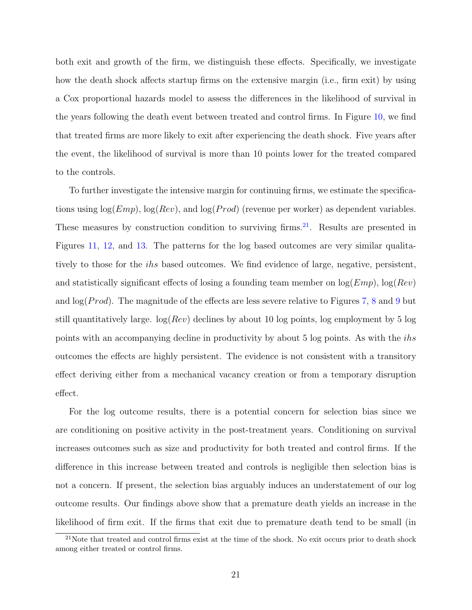both exit and growth of the firm, we distinguish these effects. Specifically, we investigate how the death shock affects startup firms on the extensive margin (i.e., firm exit) by using a Cox proportional hazards model to assess the differences in the likelihood of survival in the years following the death event between treated and control firms. In Figure [10,](#page-37-1) we find that treated firms are more likely to exit after experiencing the death shock. Five years after the event, the likelihood of survival is more than 10 points lower for the treated compared to the controls.

To further investigate the intensive margin for continuing firms, we estimate the specifications using  $log(Emp)$ ,  $log(Rev)$ , and  $log(Prod)$  (revenue per worker) as dependent variables. These measures by construction condition to surviving firms.<sup>[21](#page-21-0)</sup>. Results are presented in Figures [11,](#page-38-0) [12,](#page-38-1) and [13.](#page-39-0) The patterns for the log based outcomes are very similar qualitatively to those for the *ihs* based outcomes. We find evidence of large, negative, persistent, and statistically significant effects of losing a founding team member on  $log(Emp)$ ,  $log(Rev)$ and  $\log(Prod)$ . The magnitude of the effects are less severe relative to Figures [7,](#page-36-0) [8](#page-36-1) and [9](#page-37-0) but still quantitatively large.  $log(Rev)$  declines by about 10 log points, log employment by 5 log points with an accompanying decline in productivity by about 5 log points. As with the ihs outcomes the effects are highly persistent. The evidence is not consistent with a transitory effect deriving either from a mechanical vacancy creation or from a temporary disruption effect.

For the log outcome results, there is a potential concern for selection bias since we are conditioning on positive activity in the post-treatment years. Conditioning on survival increases outcomes such as size and productivity for both treated and control firms. If the difference in this increase between treated and controls is negligible then selection bias is not a concern. If present, the selection bias arguably induces an understatement of our log outcome results. Our findings above show that a premature death yields an increase in the likelihood of firm exit. If the firms that exit due to premature death tend to be small (in

<span id="page-21-0"></span><sup>&</sup>lt;sup>21</sup>Note that treated and control firms exist at the time of the shock. No exit occurs prior to death shock among either treated or control firms.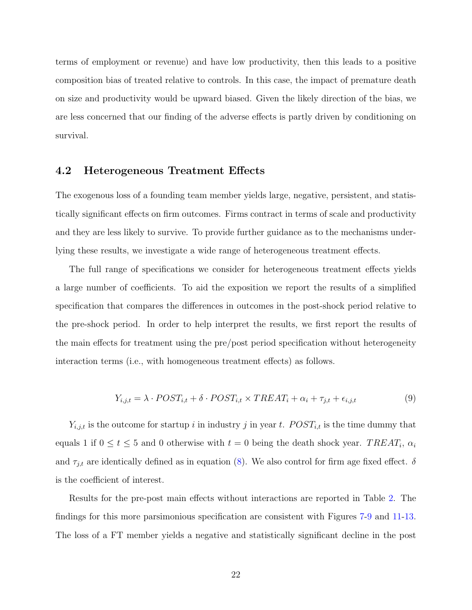terms of employment or revenue) and have low productivity, then this leads to a positive composition bias of treated relative to controls. In this case, the impact of premature death on size and productivity would be upward biased. Given the likely direction of the bias, we are less concerned that our finding of the adverse effects is partly driven by conditioning on survival.

#### 4.2 Heterogeneous Treatment Effects

The exogenous loss of a founding team member yields large, negative, persistent, and statistically significant effects on firm outcomes. Firms contract in terms of scale and productivity and they are less likely to survive. To provide further guidance as to the mechanisms underlying these results, we investigate a wide range of heterogeneous treatment effects.

The full range of specifications we consider for heterogeneous treatment effects yields a large number of coefficients. To aid the exposition we report the results of a simplified specification that compares the differences in outcomes in the post-shock period relative to the pre-shock period. In order to help interpret the results, we first report the results of the main effects for treatment using the pre/post period specification without heterogeneity interaction terms (i.e., with homogeneous treatment effects) as follows.

$$
Y_{i,j,t} = \lambda \cdot POST_{i,t} + \delta \cdot POST_{i,t} \times TREAT_i + \alpha_i + \tau_{j,t} + \epsilon_{i,j,t}
$$
(9)

 $Y_{i,j,t}$  is the outcome for startup i in industry j in year t.  $POST_{i,t}$  is the time dummy that equals 1 if  $0 \le t \le 5$  and 0 otherwise with  $t = 0$  being the death shock year.  $TREAT_i, \alpha_i$ and  $\tau_{j,t}$  are identically defined as in equation [\(8\)](#page-19-1). We also control for firm age fixed effect.  $\delta$ is the coefficient of interest.

Results for the pre-post main effects without interactions are reported in Table [2.](#page-40-1) The findings for this more parsimonious specification are consistent with Figures [7-](#page-36-0)[9](#page-37-0) and [11-](#page-38-0)[13.](#page-39-0) The loss of a FT member yields a negative and statistically significant decline in the post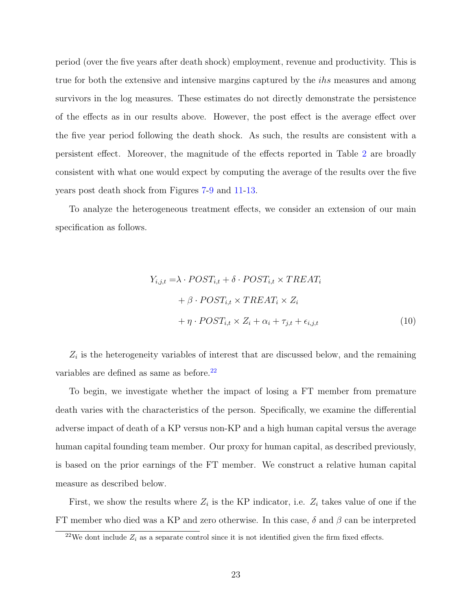period (over the five years after death shock) employment, revenue and productivity. This is true for both the extensive and intensive margins captured by the *ihs* measures and among survivors in the log measures. These estimates do not directly demonstrate the persistence of the effects as in our results above. However, the post effect is the average effect over the five year period following the death shock. As such, the results are consistent with a persistent effect. Moreover, the magnitude of the effects reported in Table [2](#page-40-1) are broadly consistent with what one would expect by computing the average of the results over the five years post death shock from Figures [7-](#page-36-0)[9](#page-37-0) and [11-](#page-38-0)[13.](#page-39-0)

To analyze the heterogeneous treatment effects, we consider an extension of our main specification as follows.

$$
Y_{i,j,t} = \lambda \cdot POST_{i,t} + \delta \cdot POST_{i,t} \times TREAT_i
$$
  
+  $\beta \cdot POST_{i,t} \times TREAT_i \times Z_i$   
+  $\eta \cdot POST_{i,t} \times Z_i + \alpha_i + \tau_{j,t} + \epsilon_{i,j,t}$  (10)

 $Z_i$  is the heterogeneity variables of interest that are discussed below, and the remaining variables are defined as same as before. $22$ 

To begin, we investigate whether the impact of losing a FT member from premature death varies with the characteristics of the person. Specifically, we examine the differential adverse impact of death of a KP versus non-KP and a high human capital versus the average human capital founding team member. Our proxy for human capital, as described previously, is based on the prior earnings of the FT member. We construct a relative human capital measure as described below.

First, we show the results where  $Z_i$  is the KP indicator, i.e.  $Z_i$  takes value of one if the FT member who died was a KP and zero otherwise. In this case,  $\delta$  and  $\beta$  can be interpreted

<span id="page-23-0"></span><sup>&</sup>lt;sup>22</sup>We dont include  $Z_i$  as a separate control since it is not identified given the firm fixed effects.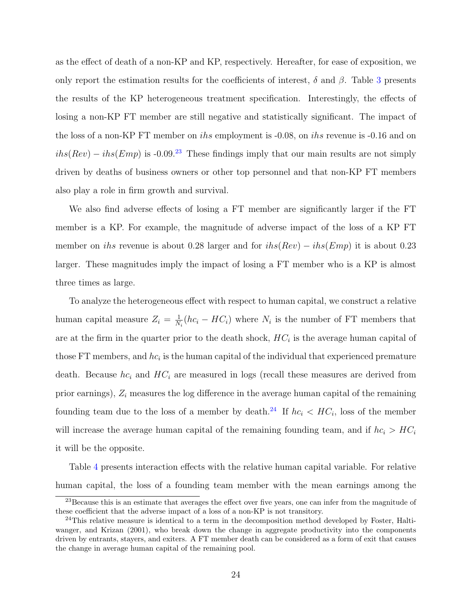as the effect of death of a non-KP and KP, respectively. Hereafter, for ease of exposition, we only report the estimation results for the coefficients of interest,  $\delta$  and  $\beta$ . Table [3](#page-41-0) presents the results of the KP heterogeneous treatment specification. Interestingly, the effects of losing a non-KP FT member are still negative and statistically significant. The impact of the loss of a non-KP FT member on ihs employment is -0.08, on ihs revenue is -0.16 and on  $i\hbar s(Rev) - i\hbar s(Emp)$  is -0.09.<sup>[23](#page-24-0)</sup> These findings imply that our main results are not simply driven by deaths of business owners or other top personnel and that non-KP FT members also play a role in firm growth and survival.

We also find adverse effects of losing a FT member are significantly larger if the FT member is a KP. For example, the magnitude of adverse impact of the loss of a KP FT member on *ihs* revenue is about 0.28 larger and for  $i\hbar s (Rev) - i\hbar s (Emp)$  it is about 0.23 larger. These magnitudes imply the impact of losing a FT member who is a KP is almost three times as large.

To analyze the heterogeneous effect with respect to human capital, we construct a relative human capital measure  $Z_i = \frac{1}{N}$  $\frac{1}{N_i}(hc_i - HC_i)$  where  $N_i$  is the number of FT members that are at the firm in the quarter prior to the death shock,  $HC_i$  is the average human capital of those FT members, and  $hc_i$  is the human capital of the individual that experienced premature death. Because  $hc_i$  and  $HC_i$  are measured in logs (recall these measures are derived from prior earnings),  $Z_i$  measures the log difference in the average human capital of the remaining founding team due to the loss of a member by death.<sup>[24](#page-24-1)</sup> If  $hc_i < HC_i$ , loss of the member will increase the average human capital of the remaining founding team, and if  $hc_i > HC_i$ it will be the opposite.

Table [4](#page-42-0) presents interaction effects with the relative human capital variable. For relative human capital, the loss of a founding team member with the mean earnings among the

<span id="page-24-0"></span><sup>&</sup>lt;sup>23</sup>Because this is an estimate that averages the effect over five years, one can infer from the magnitude of these coefficient that the adverse impact of a loss of a non-KP is not transitory.

<span id="page-24-1"></span><sup>24</sup>This relative measure is identical to a term in the decomposition method developed by [Foster, Halti](#page-30-12)[wanger, and Krizan](#page-30-12) [\(2001\)](#page-30-12), who break down the change in aggregate productivity into the components driven by entrants, stayers, and exiters. A FT member death can be considered as a form of exit that causes the change in average human capital of the remaining pool.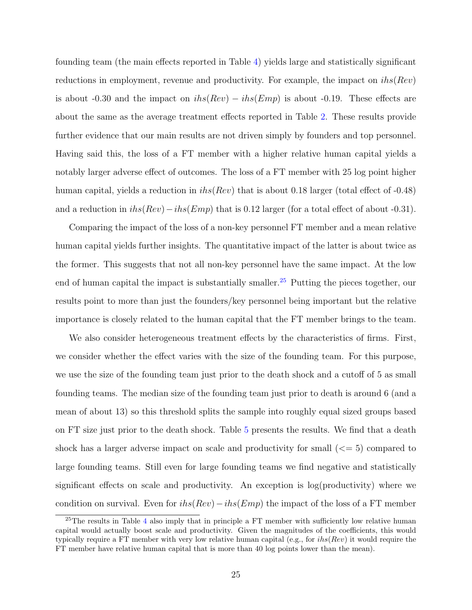founding team (the main effects reported in Table [4\)](#page-42-0) yields large and statistically significant reductions in employment, revenue and productivity. For example, the impact on  $i\hbar s(Rev)$ is about -0.30 and the impact on  $i\hbar s(Rev) - i\hbar s(Emp)$  is about -0.19. These effects are about the same as the average treatment effects reported in Table [2.](#page-40-1) These results provide further evidence that our main results are not driven simply by founders and top personnel. Having said this, the loss of a FT member with a higher relative human capital yields a notably larger adverse effect of outcomes. The loss of a FT member with 25 log point higher human capital, yields a reduction in  $i\hbar s(Rev)$  that is about 0.18 larger (total effect of -0.48) and a reduction in  $i\hbar s(Rev)-i\hbar s(Emp)$  that is 0.12 larger (for a total effect of about -0.31).

Comparing the impact of the loss of a non-key personnel FT member and a mean relative human capital yields further insights. The quantitative impact of the latter is about twice as the former. This suggests that not all non-key personnel have the same impact. At the low end of human capital the impact is substantially smaller.<sup>[25](#page-25-0)</sup> Putting the pieces together, our results point to more than just the founders/key personnel being important but the relative importance is closely related to the human capital that the FT member brings to the team.

We also consider heterogeneous treatment effects by the characteristics of firms. First, we consider whether the effect varies with the size of the founding team. For this purpose, we use the size of the founding team just prior to the death shock and a cutoff of 5 as small founding teams. The median size of the founding team just prior to death is around 6 (and a mean of about 13) so this threshold splits the sample into roughly equal sized groups based on FT size just prior to the death shock. Table [5](#page-43-0) presents the results. We find that a death shock has a larger adverse impact on scale and productivity for small  $\left(\leq 5\right)$  compared to large founding teams. Still even for large founding teams we find negative and statistically significant effects on scale and productivity. An exception is log(productivity) where we condition on survival. Even for  $ihs(Rev) - ihs(Emp)$  the impact of the loss of a FT member

<span id="page-25-0"></span> $25$ The results in Table [4](#page-42-0) also imply that in principle a FT member with sufficiently low relative human capital would actually boost scale and productivity. Given the magnitudes of the coefficients, this would typically require a FT member with very low relative human capital (e.g., for  $i\hbar s(Rev)$ ) it would require the FT member have relative human capital that is more than 40 log points lower than the mean).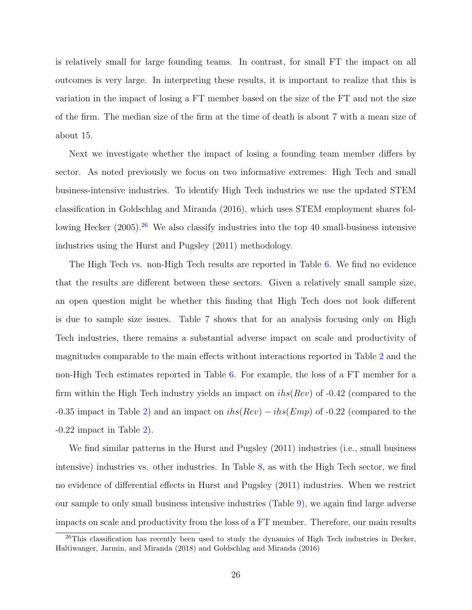is relatively small for large founding teams. In contrast, for small FT the impact on all outcomes is very large. In interpreting these results, it is important to realize that this is variation in the impact of losing a FT member based on the size of the FT and not the size of the firm. The median size of the firm at the time of death is about 7 with a mean size of about 15.

Next we investigate whether the impact of losing a founding team member differs by sector. As noted previously we focus on two informative extremes: High Tech and small business-intensive industries. To identify High Tech industries we use the updated STEM classification in [Goldschlag and Miranda](#page-31-9) [\(2016\)](#page-31-9), which uses STEM employment shares fol-lowing [Hecker](#page-31-10)  $(2005)$ .<sup>[26](#page-26-0)</sup> We also classify industries into the top 40 small-business intensive industries using the [Hurst and Pugsley](#page-31-4) [\(2011\)](#page-31-4) methodology.

The High Tech vs. non-High Tech results are reported in Table [6.](#page-44-0) We find no evidence that the results are different between these sectors. Given a relatively small sample size, an open question might be whether this finding that High Tech does not look different is due to sample size issues. Table [7](#page-45-0) shows that for an analysis focusing only on High Tech industries, there remains a substantial adverse impact on scale and productivity of magnitudes comparable to the main effects without interactions reported in Table [2](#page-40-1) and the non-High Tech estimates reported in Table [6.](#page-44-0) For example, the loss of a FT member for a firm within the High Tech industry yields an impact on  $i\hbar s(Rev)$  of -0.42 (compared to the -0.35 impact in Table [2\)](#page-40-1) and an impact on  $i\hbar s(Rev) - i\hbar s(Emp)$  of -0.22 (compared to the  $-0.22$  impact in Table [2\)](#page-40-1).

We find similar patterns in the [Hurst and Pugsley](#page-31-4) [\(2011\)](#page-31-4) industries (i.e., small business intensive) industries vs. other industries. In Table [8,](#page-46-0) as with the High Tech sector, we find no evidence of differential effects in [Hurst and Pugsley](#page-31-4) [\(2011\)](#page-31-4) industries. When we restrict our sample to only small business intensive industries (Table [9\)](#page-47-0), we again find large adverse impacts on scale and productivity from the loss of a FT member. Therefore, our main results

<span id="page-26-0"></span> $^{26}$ This classification has recently been used to study the dynamics of High Tech industries in [Decker,](#page-30-13) [Haltiwanger, Jarmin, and Miranda](#page-30-13) [\(2018\)](#page-30-13) and [Goldschlag and Miranda](#page-31-9) [\(2016\)](#page-31-9)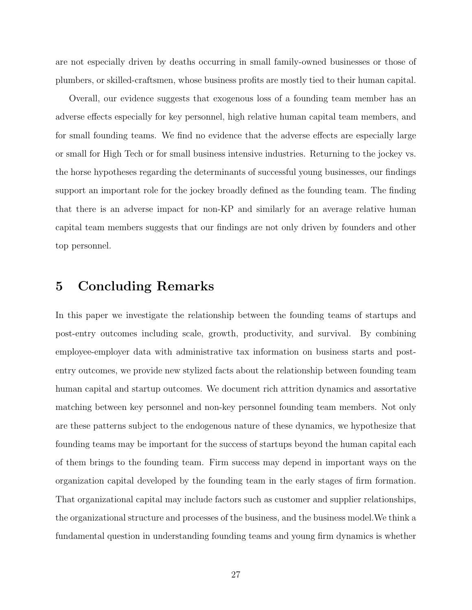are not especially driven by deaths occurring in small family-owned businesses or those of plumbers, or skilled-craftsmen, whose business profits are mostly tied to their human capital.

Overall, our evidence suggests that exogenous loss of a founding team member has an adverse effects especially for key personnel, high relative human capital team members, and for small founding teams. We find no evidence that the adverse effects are especially large or small for High Tech or for small business intensive industries. Returning to the jockey vs. the horse hypotheses regarding the determinants of successful young businesses, our findings support an important role for the jockey broadly defined as the founding team. The finding that there is an adverse impact for non-KP and similarly for an average relative human capital team members suggests that our findings are not only driven by founders and other top personnel.

### <span id="page-27-0"></span>5 Concluding Remarks

In this paper we investigate the relationship between the founding teams of startups and post-entry outcomes including scale, growth, productivity, and survival. By combining employee-employer data with administrative tax information on business starts and postentry outcomes, we provide new stylized facts about the relationship between founding team human capital and startup outcomes. We document rich attrition dynamics and assortative matching between key personnel and non-key personnel founding team members. Not only are these patterns subject to the endogenous nature of these dynamics, we hypothesize that founding teams may be important for the success of startups beyond the human capital each of them brings to the founding team. Firm success may depend in important ways on the organization capital developed by the founding team in the early stages of firm formation. That organizational capital may include factors such as customer and supplier relationships, the organizational structure and processes of the business, and the business model.We think a fundamental question in understanding founding teams and young firm dynamics is whether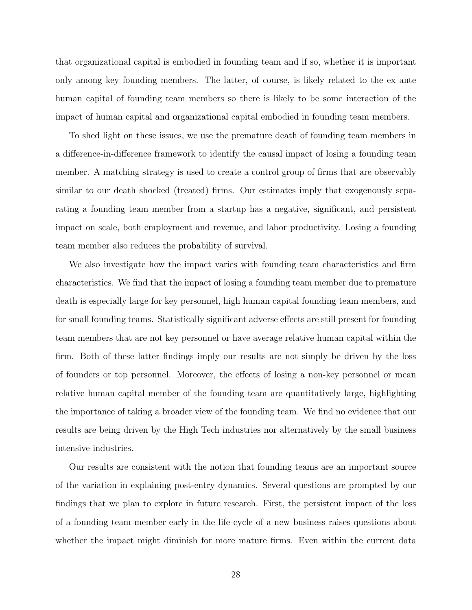that organizational capital is embodied in founding team and if so, whether it is important only among key founding members. The latter, of course, is likely related to the ex ante human capital of founding team members so there is likely to be some interaction of the impact of human capital and organizational capital embodied in founding team members.

To shed light on these issues, we use the premature death of founding team members in a difference-in-difference framework to identify the causal impact of losing a founding team member. A matching strategy is used to create a control group of firms that are observably similar to our death shocked (treated) firms. Our estimates imply that exogenously separating a founding team member from a startup has a negative, significant, and persistent impact on scale, both employment and revenue, and labor productivity. Losing a founding team member also reduces the probability of survival.

We also investigate how the impact varies with founding team characteristics and firm characteristics. We find that the impact of losing a founding team member due to premature death is especially large for key personnel, high human capital founding team members, and for small founding teams. Statistically significant adverse effects are still present for founding team members that are not key personnel or have average relative human capital within the firm. Both of these latter findings imply our results are not simply be driven by the loss of founders or top personnel. Moreover, the effects of losing a non-key personnel or mean relative human capital member of the founding team are quantitatively large, highlighting the importance of taking a broader view of the founding team. We find no evidence that our results are being driven by the High Tech industries nor alternatively by the small business intensive industries.

Our results are consistent with the notion that founding teams are an important source of the variation in explaining post-entry dynamics. Several questions are prompted by our findings that we plan to explore in future research. First, the persistent impact of the loss of a founding team member early in the life cycle of a new business raises questions about whether the impact might diminish for more mature firms. Even within the current data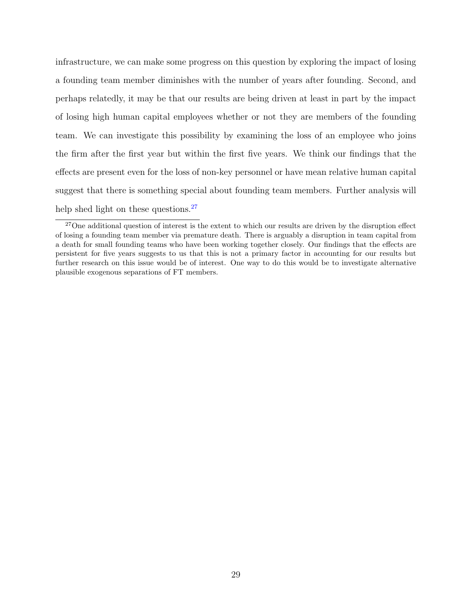infrastructure, we can make some progress on this question by exploring the impact of losing a founding team member diminishes with the number of years after founding. Second, and perhaps relatedly, it may be that our results are being driven at least in part by the impact of losing high human capital employees whether or not they are members of the founding team. We can investigate this possibility by examining the loss of an employee who joins the firm after the first year but within the first five years. We think our findings that the effects are present even for the loss of non-key personnel or have mean relative human capital suggest that there is something special about founding team members. Further analysis will help shed light on these questions.<sup>[27](#page-29-0)</sup>

<span id="page-29-0"></span><sup>&</sup>lt;sup>27</sup>One additional question of interest is the extent to which our results are driven by the disruption effect of losing a founding team member via premature death. There is arguably a disruption in team capital from a death for small founding teams who have been working together closely. Our findings that the effects are persistent for five years suggests to us that this is not a primary factor in accounting for our results but further research on this issue would be of interest. One way to do this would be to investigate alternative plausible exogenous separations of FT members.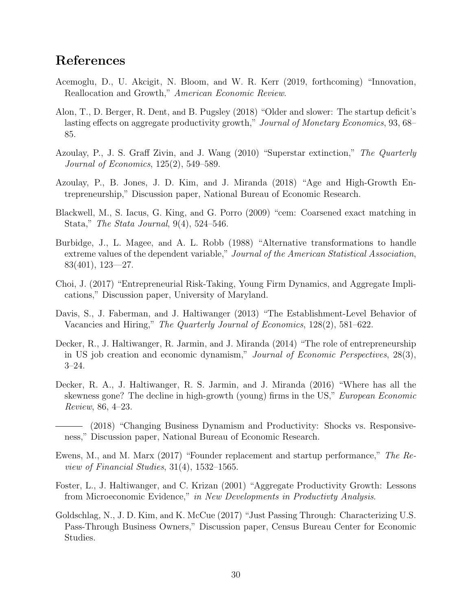### References

- <span id="page-30-1"></span>Acemoglu, D., U. Akcigit, N. Bloom, and W. R. Kerr (2019, forthcoming) "Innovation, Reallocation and Growth," American Economic Review.
- <span id="page-30-5"></span>Alon, T., D. Berger, R. Dent, and B. Pugsley (2018) "Older and slower: The startup deficit's lasting effects on aggregate productivity growth," Journal of Monetary Economics, 93, 68– 85.
- <span id="page-30-8"></span>Azoulay, P., J. S. Graff Zivin, and J. Wang (2010) "Superstar extinction," The Quarterly Journal of Economics, 125(2), 549–589.
- <span id="page-30-2"></span>Azoulay, P., B. Jones, J. D. Kim, and J. Miranda (2018) "Age and High-Growth Entrepreneurship," Discussion paper, National Bureau of Economic Research.
- <span id="page-30-9"></span>Blackwell, M., S. Iacus, G. King, and G. Porro (2009) "cem: Coarsened exact matching in Stata," The Stata Journal, 9(4), 524–546.
- <span id="page-30-10"></span>Burbidge, J., L. Magee, and A. L. Robb (1988) "Alternative transformations to handle extreme values of the dependent variable," Journal of the American Statistical Association, 83(401), 123—27.
- <span id="page-30-3"></span>Choi, J. (2017) "Entrepreneurial Risk-Taking, Young Firm Dynamics, and Aggregate Implications," Discussion paper, University of Maryland.
- <span id="page-30-11"></span>Davis, S., J. Faberman, and J. Haltiwanger (2013) "The Establishment-Level Behavior of Vacancies and Hiring," The Quarterly Journal of Economics, 128(2), 581–622.
- <span id="page-30-0"></span>Decker, R., J. Haltiwanger, R. Jarmin, and J. Miranda (2014) "The role of entrepreneurship in US job creation and economic dynamism," Journal of Economic Perspectives, 28(3), 3–24.
- <span id="page-30-6"></span>Decker, R. A., J. Haltiwanger, R. S. Jarmin, and J. Miranda (2016) "Where has all the skewness gone? The decline in high-growth (young) firms in the US," *European Economic* Review, 86, 4–23.
- <span id="page-30-13"></span>(2018) "Changing Business Dynamism and Productivity: Shocks vs. Responsiveness," Discussion paper, National Bureau of Economic Research.
- <span id="page-30-4"></span>Ewens, M., and M. Marx (2017) "Founder replacement and startup performance," The Review of Financial Studies, 31(4), 1532–1565.
- <span id="page-30-12"></span>Foster, L., J. Haltiwanger, and C. Krizan (2001) "Aggregate Productivity Growth: Lessons from Microeconomic Evidence," in New Developments in Productivty Analysis.
- <span id="page-30-7"></span>Goldschlag, N., J. D. Kim, and K. McCue (2017) "Just Passing Through: Characterizing U.S. Pass-Through Business Owners," Discussion paper, Census Bureau Center for Economic Studies.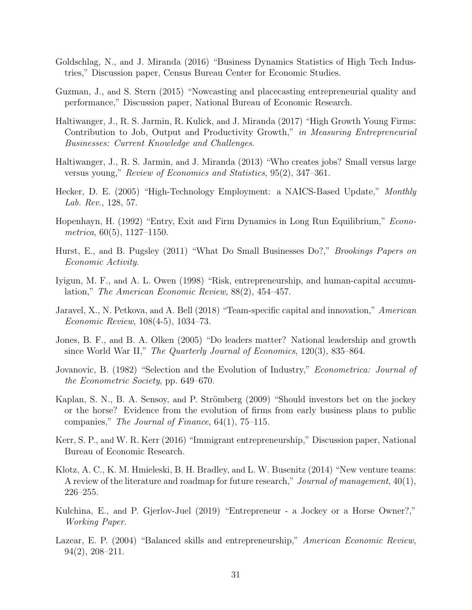- <span id="page-31-16"></span><span id="page-31-9"></span>Goldschlag, N., and J. Miranda (2016) "Business Dynamics Statistics of High Tech Industries," Discussion paper, Census Bureau Center for Economic Studies.
- <span id="page-31-6"></span>Guzman, J., and S. Stern (2015) "Nowcasting and placecasting entrepreneurial quality and performance," Discussion paper, National Bureau of Economic Research.
- <span id="page-31-13"></span>Haltiwanger, J., R. S. Jarmin, R. Kulick, and J. Miranda (2017) "High Growth Young Firms: Contribution to Job, Output and Productivity Growth," in Measuring Entrepreneurial Businesses: Current Knowledge and Challenges.
- <span id="page-31-0"></span>Haltiwanger, J., R. S. Jarmin, and J. Miranda (2013) "Who creates jobs? Small versus large versus young," Review of Economics and Statistics, 95(2), 347–361.
- <span id="page-31-10"></span>Hecker, D. E. (2005) "High-Technology Employment: a NAICS-Based Update," Monthly Lab. Rev., 128, 57.
- <span id="page-31-12"></span>Hopenhayn, H. (1992) "Entry, Exit and Firm Dynamics in Long Run Equilibrium," Econometrica, 60(5), 1127–1150.
- <span id="page-31-4"></span>Hurst, E., and B. Pugsley (2011) "What Do Small Businesses Do?," *Brookings Papers on* Economic Activity.
- <span id="page-31-8"></span>Iyigun, M. F., and A. L. Owen (1998) "Risk, entrepreneurship, and human-capital accumulation," The American Economic Review, 88(2), 454–457.
- <span id="page-31-14"></span>Jaravel, X., N. Petkova, and A. Bell (2018) "Team-specific capital and innovation," American Economic Review, 108(4-5), 1034–73.
- <span id="page-31-15"></span>Jones, B. F., and B. A. Olken (2005) "Do leaders matter? National leadership and growth since World War II," The Quarterly Journal of Economics, 120(3), 835–864.
- <span id="page-31-5"></span>Jovanovic, B. (1982) "Selection and the Evolution of Industry," Econometrica: Journal of the Econometric Society, pp. 649–670.
- <span id="page-31-1"></span>Kaplan, S. N., B. A. Sensoy, and P. Strömberg (2009) "Should investors bet on the jockey or the horse? Evidence from the evolution of firms from early business plans to public companies," The Journal of Finance, 64(1), 75–115.
- <span id="page-31-2"></span>Kerr, S. P., and W. R. Kerr (2016) "Immigrant entrepreneurship," Discussion paper, National Bureau of Economic Research.
- <span id="page-31-11"></span>Klotz, A. C., K. M. Hmieleski, B. H. Bradley, and L. W. Busenitz (2014) "New venture teams: A review of the literature and roadmap for future research," Journal of management,  $40(1)$ , 226–255.
- <span id="page-31-3"></span>Kulchina, E., and P. Gjerlov-Juel (2019) "Entrepreneur - a Jockey or a Horse Owner?," Working Paper.
- <span id="page-31-7"></span>Lazear, E. P. (2004) "Balanced skills and entrepreneurship," American Economic Review, 94(2), 208–211.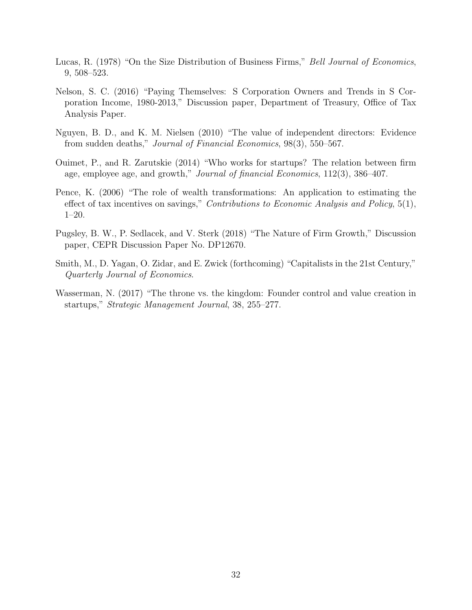- <span id="page-32-4"></span>Lucas, R. (1978) "On the Size Distribution of Business Firms," Bell Journal of Economics, 9, 508–523.
- <span id="page-32-5"></span>Nelson, S. C. (2016) "Paying Themselves: S Corporation Owners and Trends in S Corporation Income, 1980-2013," Discussion paper, Department of Treasury, Office of Tax Analysis Paper.
- <span id="page-32-6"></span>Nguyen, B. D., and K. M. Nielsen (2010) "The value of independent directors: Evidence from sudden deaths," Journal of Financial Economics, 98(3), 550–567.
- <span id="page-32-1"></span>Ouimet, P., and R. Zarutskie (2014) "Who works for startups? The relation between firm age, employee age, and growth," Journal of financial Economics, 112(3), 386–407.
- <span id="page-32-7"></span>Pence, K. (2006) "The role of wealth transformations: An application to estimating the effect of tax incentives on savings," *Contributions to Economic Analysis and Policy*, 5(1), 1–20.
- <span id="page-32-2"></span>Pugsley, B. W., P. Sedlacek, and V. Sterk (2018) "The Nature of Firm Growth," Discussion paper, CEPR Discussion Paper No. DP12670.
- <span id="page-32-3"></span>Smith, M., D. Yagan, O. Zidar, and E. Zwick (forthcoming) "Capitalists in the 21st Century," Quarterly Journal of Economics.
- <span id="page-32-0"></span>Wasserman, N. (2017) "The throne vs. the kingdom: Founder control and value creation in startups," Strategic Management Journal, 38, 255–277.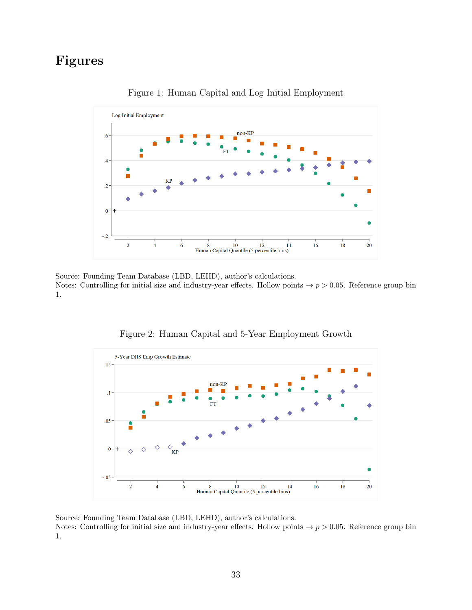# <span id="page-33-0"></span>Figures



Figure 1: Human Capital and Log Initial Employment

Source: Founding Team Database (LBD, LEHD), author's calculations. Notes: Controlling for initial size and industry-year effects. Hollow points  $\rightarrow p > 0.05$ . Reference group bin 1.

<span id="page-33-1"></span>

Figure 2: Human Capital and 5-Year Employment Growth

Source: Founding Team Database (LBD, LEHD), author's calculations. Notes: Controlling for initial size and industry-year effects. Hollow points  $\rightarrow p > 0.05$ . Reference group bin 1.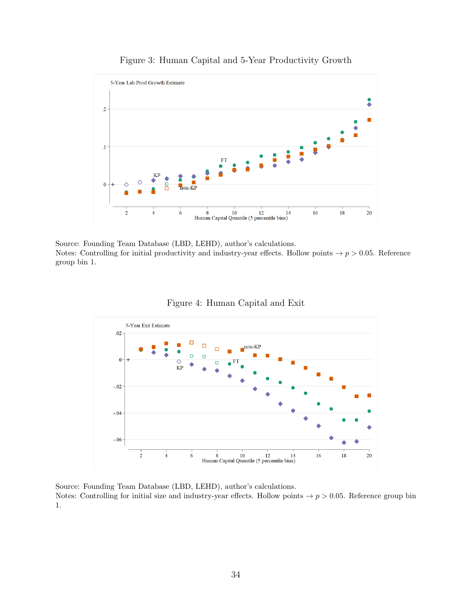<span id="page-34-0"></span>

#### Figure 3: Human Capital and 5-Year Productivity Growth

Source: Founding Team Database (LBD, LEHD), author's calculations. Notes: Controlling for initial productivity and industry-year effects. Hollow points  $\rightarrow p > 0.05$ . Reference group bin 1.



<span id="page-34-1"></span>

Source: Founding Team Database (LBD, LEHD), author's calculations.

Notes: Controlling for initial size and industry-year effects. Hollow points  $\rightarrow p > 0.05$ . Reference group bin 1.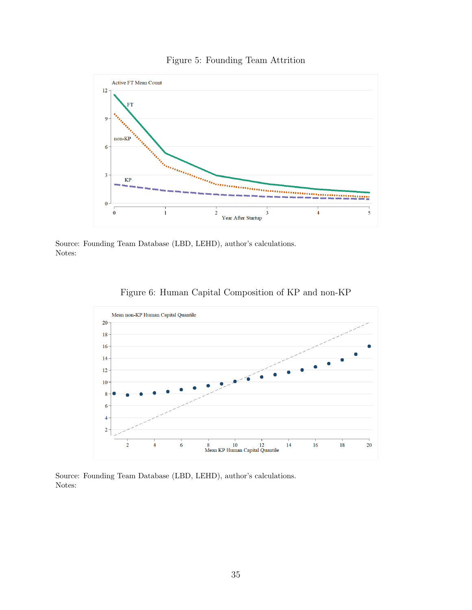#### Figure 5: Founding Team Attrition

<span id="page-35-0"></span>

Source: Founding Team Database (LBD, LEHD), author's calculations. Notes:

<span id="page-35-1"></span>

Figure 6: Human Capital Composition of KP and non-KP

Source: Founding Team Database (LBD, LEHD), author's calculations. Notes: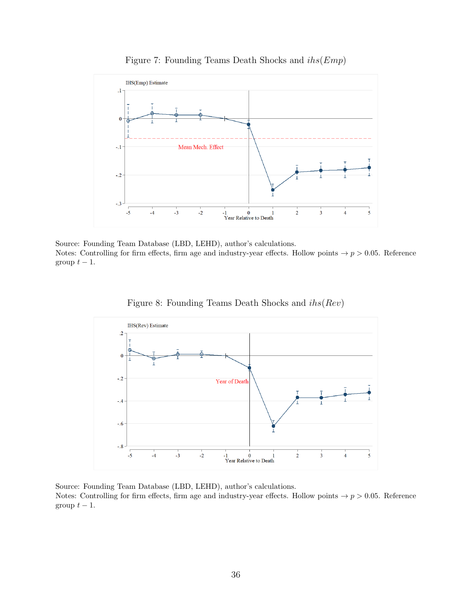<span id="page-36-0"></span>

Figure 7: Founding Teams Death Shocks and  $i\hbar s (Emp)$ 

Source: Founding Team Database (LBD, LEHD), author's calculations. Notes: Controlling for firm effects, firm age and industry-year effects. Hollow points  $\rightarrow p > 0.05$ . Reference group  $t-1$ .

<span id="page-36-1"></span>

Figure 8: Founding Teams Death Shocks and ihs(Rev)

Source: Founding Team Database (LBD, LEHD), author's calculations. Notes: Controlling for firm effects, firm age and industry-year effects. Hollow points  $\rightarrow p > 0.05$ . Reference group  $t - 1$ .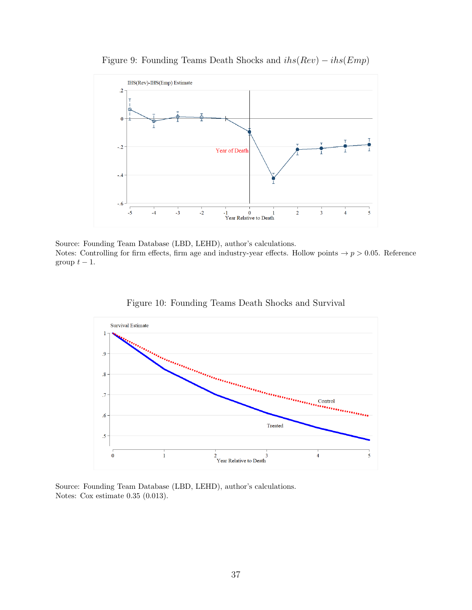<span id="page-37-0"></span>

Figure 9: Founding Teams Death Shocks and  $i\hbar s(Rev) - i\hbar s(Emp)$ 

Source: Founding Team Database (LBD, LEHD), author's calculations. Notes: Controlling for firm effects, firm age and industry-year effects. Hollow points  $\rightarrow p > 0.05$ . Reference group  $t-1$ .

<span id="page-37-1"></span>

Figure 10: Founding Teams Death Shocks and Survival

Source: Founding Team Database (LBD, LEHD), author's calculations. Notes: Cox estimate 0.35 (0.013).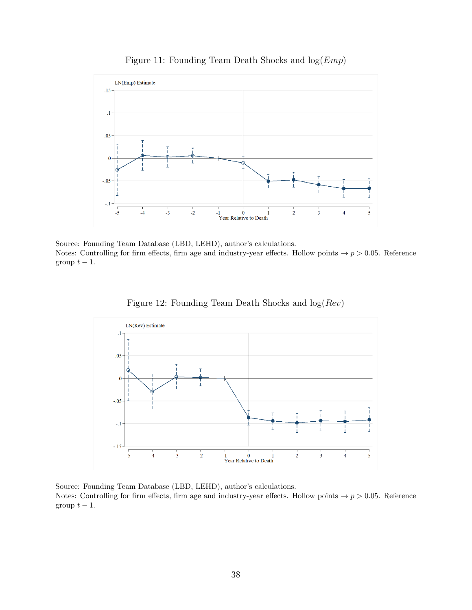<span id="page-38-0"></span>

Figure 11: Founding Team Death Shocks and  $log(Emp)$ 

Source: Founding Team Database (LBD, LEHD), author's calculations. Notes: Controlling for firm effects, firm age and industry-year effects. Hollow points  $\rightarrow p > 0.05$ . Reference group  $t-1$ .



<span id="page-38-1"></span>

Source: Founding Team Database (LBD, LEHD), author's calculations. Notes: Controlling for firm effects, firm age and industry-year effects. Hollow points  $\rightarrow p > 0.05$ . Reference group  $t - 1$ .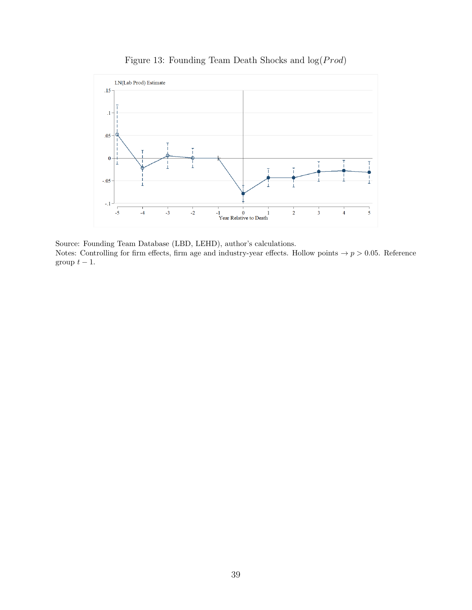<span id="page-39-0"></span>

Figure 13: Founding Team Death Shocks and  $log(Prod)$ 

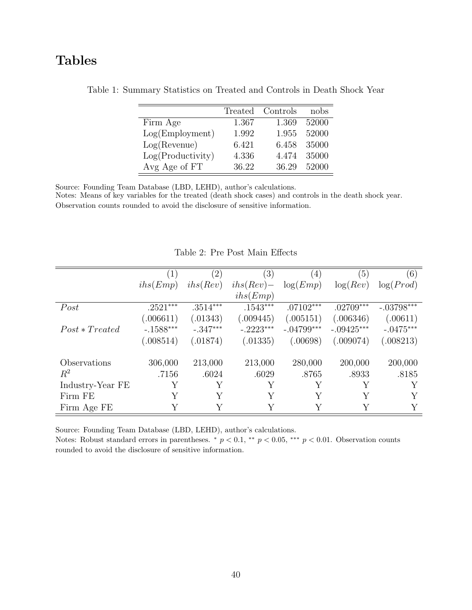## <span id="page-40-0"></span>Tables

|                    |       | Treated Controls | nobs  |
|--------------------|-------|------------------|-------|
| Firm Age           | 1.367 | 1.369            | 52000 |
| Log(Employment)    | 1.992 | 1.955            | 52000 |
| $Log($ Revenue $)$ | 6.421 | 6.458            | 35000 |
| Log(Productivity)  | 4.336 | 4.474            | 35000 |
| Avg Age of FT      | 36.22 | 36.29            | 52000 |

Table 1: Summary Statistics on Treated and Controls in Death Shock Year

Source: Founding Team Database (LBD, LEHD), author's calculations.

Notes: Means of key variables for the treated (death shock cases) and controls in the death shock year. Observation counts rounded to avoid the disclosure of sensitive information.

<span id="page-40-1"></span>

|                  |             | (2)        | $\left(3\right)$ | (4)          | (5)          | (6)          |
|------------------|-------------|------------|------------------|--------------|--------------|--------------|
|                  | ihs(Emp)    | ihs(Rev)   | $ihs(Rev) -$     | log(Emp)     | log(Rev)     | log(Prod)    |
|                  |             |            | ihs(Emp)         |              |              |              |
| Post             | $.2521***$  | $.3514***$ | $.1543***$       | $.07102***$  | $.02709***$  | $-.03798***$ |
|                  | (.006611)   | (.01343)   | (.009445)        | (.005151)    | (.006346)    | (.00611)     |
| $Post * Treated$ | $-.1588***$ | $-.347***$ | $-.2223***$      | $-.04799***$ | $-.09425***$ | $-.0475***$  |
|                  | (.008514)   | (.01874)   | (.01335)         | (.00698)     | (.009074)    | (.008213)    |
| Observations     | 306,000     | 213,000    | 213,000          | 280,000      | 200,000      | 200,000      |
| $R^2$            | .7156       | .6024      | .6029            | .8765        | .8933        | .8185        |
| Industry-Year FE | Υ           |            | Y                |              | Y            | Y            |
| Firm FE          | Υ           | Y          | Y                | Y            | Y            |              |
| Firm Age FE      | Y           | Y          | Y                |              | Y            | Y            |

Table 2: Pre Post Main Effects

Source: Founding Team Database (LBD, LEHD), author's calculations.

Notes: Robust standard errors in parentheses. \*  $p < 0.1$ , \*\*  $p < 0.05$ , \*\*\*  $p < 0.01$ . Observation counts rounded to avoid the disclosure of sensitive information.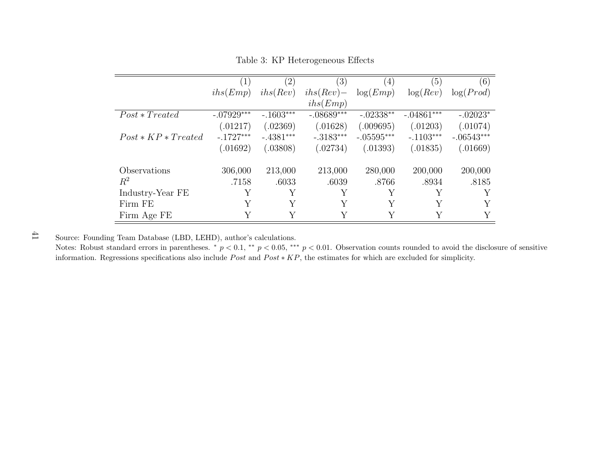|                       |              | (2)         | (3)          | $\left(4\right)$ | (5)          | (6)          |
|-----------------------|--------------|-------------|--------------|------------------|--------------|--------------|
|                       | ihs(Emp)     | ihs(Rev)    | $ihs(Rev) -$ | log(Emp)         | log(Rev)     | log(Prod)    |
|                       |              |             | ihs(Emp)     |                  |              |              |
| $Post * Treated$      | $-.07929***$ | $-.1603***$ | $-.08689***$ | $-.02338**$      | $-.04861***$ | $-.02023*$   |
|                       | (.01217)     | (.02369)    | (.01628)     | (.009695)        | (.01203)     | (.01074)     |
| $Post * KP * Treated$ | $-.1727***$  | $-.4381***$ | $-.3183***$  | $-.05595***$     | $-.1103***$  | $-.06543***$ |
|                       | (.01692)     | (.03808)    | (.02734)     | (.01393)         | (.01835)     | (.01669)     |
| Observations          | 306,000      | 213,000     | 213,000      | 280,000          | 200,000      | 200,000      |
| $\mathbb{R}^2$        | .7158        | .6033       | .6039        | .8766            | .8934        | .8185        |
| Industry-Year FE      | Υ            | Y           | Y            | Y                | Y            | Υ            |
| Firm FE               | Υ            | Y           | Y            | Y                | Y            | Y            |
| Firm Age FE           | Y            |             |              | Y                |              | Y            |

Table 3: KP Heterogeneous Effects

<span id="page-41-0"></span>Notes: Robust standard errors in parentheses. \*  $p < 0.1$ , \*\*  $p < 0.05$ , \*\*\*  $p < 0.01$ . Observation counts rounded to avoid the disclosure of sensitive information. Regressions specifications also include  $Post$  and  $Post * KP$ , the estimates for which are excluded for simplicity.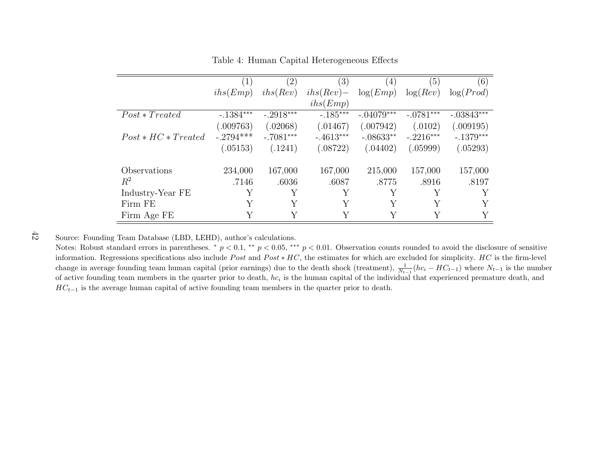|                       | $\left(1\right)$ | $\left( 2\right)$ | (3)          | (4)          | (5)         | (6)          |
|-----------------------|------------------|-------------------|--------------|--------------|-------------|--------------|
|                       | ihs(Emp)         | ihs(Rev)          | $ihs(Rev) -$ | log(Emp)     | log(Rev)    | log(Prod)    |
|                       |                  |                   | ihs(Emp)     |              |             |              |
| $Post * Treated$      | $-.1384***$      | $-.2918***$       | $-.185***$   | $-.04079***$ | $-.0781***$ | $-.03843***$ |
|                       | (.009763)        | (.02068)          | (.01467)     | (.007942)    | (.0102)     | (.009195)    |
| $Post * HC * Treated$ | $-.2794***$      | $-.7081***$       | $-.4613***$  | $-.08633**$  | $-.2216***$ | $-.1379***$  |
|                       | (.05153)         | (.1241)           | (.08722)     | (.04402)     | (.05999)    | (.05293)     |
| Observations          | 234,000          | 167,000           | 167,000      | 215,000      | 157,000     | 157,000      |
| $R^2$                 | .7146            | .6036             | .6087        | .8775        | .8916       | .8197        |
| Industry-Year FE      | Y                | Y                 | Y            |              | Y           |              |
| Firm FE               |                  | Y                 | Y            |              | Y           |              |
| Firm Age FE           |                  |                   |              |              |             |              |

Table 4: Human Capital Heterogeneous Effects

<span id="page-42-0"></span>Notes: Robust standard errors in parentheses. \*  $p < 0.1$ , \*\*  $p < 0.05$ , \*\*\*  $p < 0.01$ . Observation counts rounded to avoid the disclosure of sensitive information. Regressions specifications also include  $Post$  and  $Post * HC$ , the estimates for which are excluded for simplicity.  $HC$  is the firm-level change in average founding team human capital (prior earnings) due to the death shock (treatment),  $\frac{1}{N_{t-1}}(hc_i - HC_{t-1})$  where  $N_{t-1}$  is the number of active founding team members in the quarter prior to death,  $hc_i$  is the human capital of the individual that experienced premature death, and  $HC_{t-1}$  is the average human capital of active founding team members in the quarter prior to death.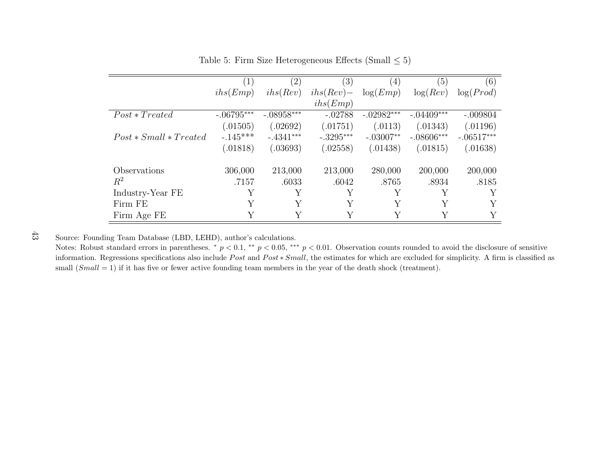|                          | (1)          | $\left( 2\right)$ | $\left( 3\right)$ | (4)          | (5)          | (6)          |
|--------------------------|--------------|-------------------|-------------------|--------------|--------------|--------------|
|                          | ihs(Emp)     | ihs(Rev)          | $ihs(Rev) -$      | log(Emp)     | log(Rev)     | log(Prod)    |
|                          |              |                   | ihs(Emp)          |              |              |              |
| $Post * Treated$         | $-.06795***$ | $-.08958***$      | $-.02788$         | $-.02982***$ | $-.04409***$ | $-.009804$   |
|                          | (.01505)     | (.02692)          | (.01751)          | (.0113)      | (.01343)     | (.01196)     |
| $Post * Small * Treated$ | $-.145***$   | $-.4341***$       | $-.3295***$       | $-.03007**$  | $-.08606***$ | $-.06517***$ |
|                          | (.01818)     | (.03693)          | (.02558)          | (.01438)     | (.01815)     | (.01638)     |
| Observations             | 306,000      | 213,000           | 213,000           | 280,000      | 200,000      | 200,000      |
| $R^2$                    | .7157        | .6033             | .6042             | .8765        | .8934        | .8185        |
| Industry-Year FE         | Y            | Y                 | Y                 | Y            | Y            | Y            |
| Firm FE                  | Y            | Υ                 | Y                 | Y            | Y            |              |
| Firm Age FE              | Y            | Y                 | Υ                 | Y            | Υ            | Y            |

Table 5: Firm Size Heterogeneous Effects (Small  $\leq 5$ )

<span id="page-43-0"></span>Notes: Robust standard errors in parentheses. \*  $p < 0.1$ , \*\*  $p < 0.05$ , \*\*\*  $p < 0.01$ . Observation counts rounded to avoid the disclosure of sensitive information. Regressions specifications also include  $Post$  and  $Post * Small$ , the estimates for which are excluded for simplicity. A firm is classified as small  $(Small = 1)$  if it has five or fewer active founding team members in the year of the death shock (treatment).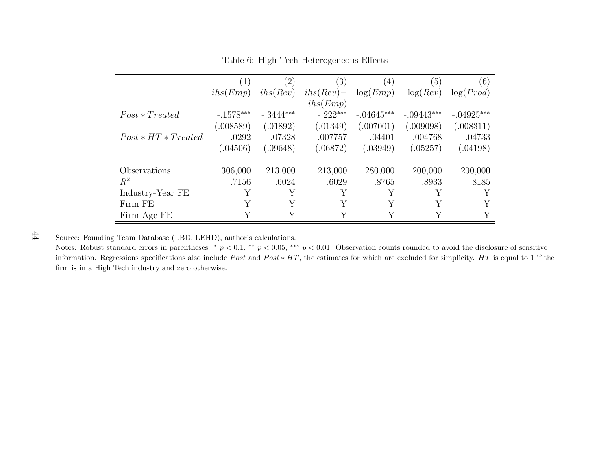|                       | (1)         | $\left( 2\right)$ | (3)          | (4)          | (5)          | (6)          |
|-----------------------|-------------|-------------------|--------------|--------------|--------------|--------------|
|                       | ihs(Emp)    | ihs(Rev)          | $ihs(Rev) -$ | log(Emp)     | log(Rev)     | log(Prod)    |
|                       |             |                   | ihs(Emp)     |              |              |              |
| $Post * Treated$      | $-.1578***$ | $-.3444***$       | $-.222***$   | $-.04645***$ | $-.09443***$ | $-.04925***$ |
|                       | (.008589)   | (.01892)          | (.01349)     | (.007001)    | (.009098)    | (.008311)    |
| $Post * HT * Treated$ | $-.0292$    | $-.07328$         | $-.007757$   | $-.04401$    | .004768      | .04733       |
|                       | (.04506)    | (.09648)          | (.06872)     | (.03949)     | (.05257)     | (0.4198)     |
| Observations          | 306,000     | 213,000           | 213,000      | 280,000      | 200,000      | 200,000      |
| $R^2$                 | .7156       | .6024             | .6029        | .8765        | .8933        | .8185        |
| Industry-Year FE      | Υ           | Y                 | Y            | Y            | Y            |              |
| Firm FE               | Y           | Y                 | Y            | Y            | Y            |              |
| Firm Age FE           | Y           | Y                 |              | Υ            | Y            |              |

Table 6: High Tech Heterogeneous Effects

<span id="page-44-0"></span>Notes: Robust standard errors in parentheses. \*  $p < 0.1$ , \*\*  $p < 0.05$ , \*\*\*  $p < 0.01$ . Observation counts rounded to avoid the disclosure of sensitive information. Regressions specifications also include  $Post$  and  $Post * HT$ , the estimates for which are excluded for simplicity.  $HT$  is equal to 1 if the firm is in <sup>a</sup> High Tech industry and zero otherwise.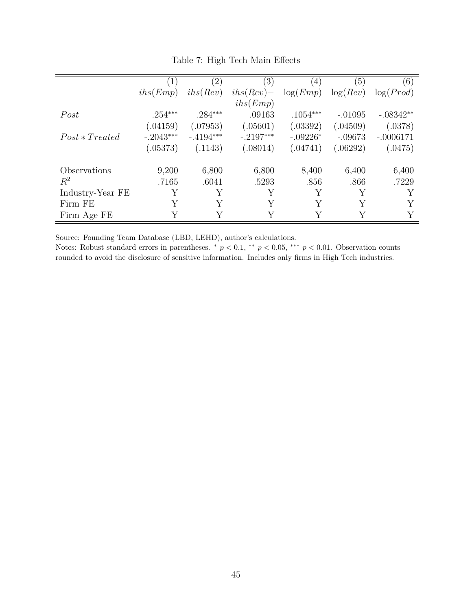<span id="page-45-0"></span>

|                  | $\left( 1\right)$ | $\left( 2\right)$ | (3)          | $\left( 4\right)$ | (5)       | (6)         |
|------------------|-------------------|-------------------|--------------|-------------------|-----------|-------------|
|                  | ihs(Emp)          | ihs(Rev)          | $ihs(Rev) -$ | log(Emp)          | log(Rev)  | log(Prod)   |
|                  |                   |                   | ihs(Emp)     |                   |           |             |
| Post             | $.254***$         | $.284***$         | .09163       | $.1054***$        | $-.01095$ | $-.08342**$ |
|                  | (.04159)          | (.07953)          | (.05601)     | (.03392)          | (.04509)  | (.0378)     |
| $Post * Treated$ | $-.2043***$       | $-.4194***$       | $-.2197***$  | $-.09226*$        | $-.09673$ | $-.0006171$ |
|                  | (.05373)          | (.1143)           | (.08014)     | (.04741)          | (.06292)  | (.0475)     |
| Observations     | 9,200             | 6,800             | 6,800        | 8,400             | 6,400     | 6,400       |
| $R^2$            | .7165             | .6041             | .5293        | .856              | .866      | .7229       |
| Industry-Year FE | Υ                 | Y                 | Υ            | Υ                 | Y         | Y           |
| Firm FE          | Y                 | Y                 | Y            | Y                 | Y         |             |
| Firm Age FE      | Y                 | Y                 | Y            | Y                 | Y         |             |

Table 7: High Tech Main Effects

Notes: Robust standard errors in parentheses.  $\ast p < 0.1$ ,  $\ast \ast p < 0.05$ ,  $\ast \ast \ast p < 0.01$ . Observation counts rounded to avoid the disclosure of sensitive information. Includes only firms in High Tech industries.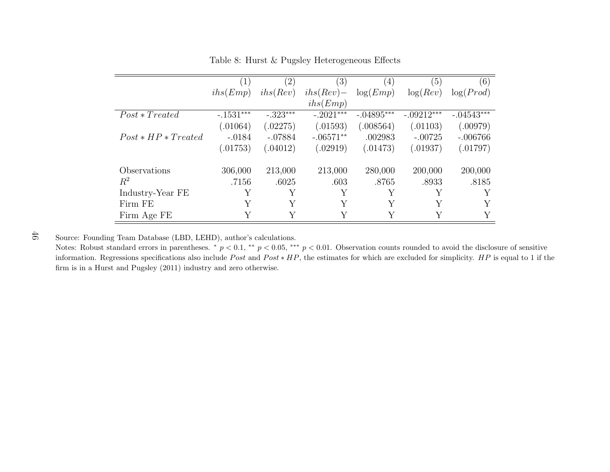|                       | (1)         | (2)        | (3)          | (4)          | (5)          | (6)          |
|-----------------------|-------------|------------|--------------|--------------|--------------|--------------|
|                       | ihs(Emp)    | ihs(Rev)   | $ihs(Rev) -$ | log(Emp)     | log(Rev)     | log(Prod)    |
|                       |             |            | ihs(Emp)     |              |              |              |
| $Post * Treated$      | $-.1531***$ | $-.323***$ | $-.2021***$  | $-.04895***$ | $-.09212***$ | $-.04543***$ |
|                       | (.01064)    | (.02275)   | (.01593)     | (.008564)    | (.01103)     | (.00979)     |
| $Post * HP * Treated$ | $-.0184$    | $-.07884$  | $-.06571**$  | .002983      | $-.00725$    | $-.006766$   |
|                       | (.01753)    | (.04012)   | (.02919)     | (.01473)     | (.01937)     | (.01797)     |
| Observations          | 306,000     | 213,000    | 213,000      | 280,000      | 200,000      | 200,000      |
| $R^2$                 | .7156       | .6025      | .603         | .8765        | .8933        | .8185        |
| Industry-Year FE      | Y           | Y          | Y            | Y            | Y            |              |
| Firm FE               | Υ           | Y          | Y            | Y            | Y            |              |
| Firm Age FE           | Y           |            |              | Y            | Y            |              |

Table 8: Hurst & Pugsley Heterogeneous Effects

<span id="page-46-0"></span>Notes: Robust standard errors in parentheses. \*  $p < 0.1$ , \*\*  $p < 0.05$ , \*\*\*  $p < 0.01$ . Observation counts rounded to avoid the disclosure of sensitive information. Regressions specifications also include  $Post$  and  $Post * HP$ , the estimates for which are excluded for simplicity.  $HP$  is equal to 1 if the firm is in <sup>a</sup> Hurst and [Pugsley](#page-31-16) [\(2011\)](#page-31-16) industry and zero otherwise.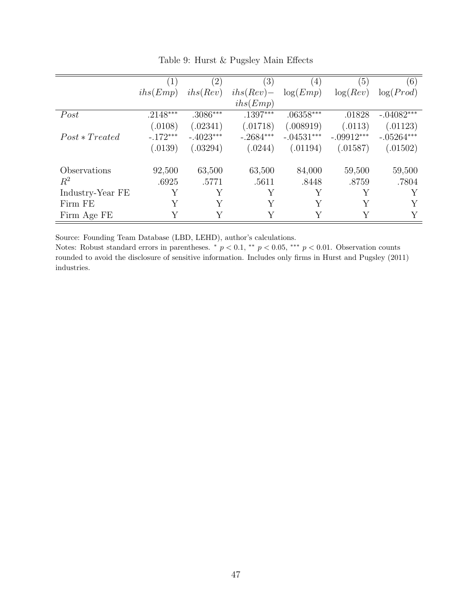<span id="page-47-0"></span>

|                  | $\left(1\right)$ | $\left( 2\right)$ | $\left( 3\right)$ | $\left(4\right)$ | (5)          | (6)          |
|------------------|------------------|-------------------|-------------------|------------------|--------------|--------------|
|                  | ihs(Emp)         | ihs(Rev)          | $ihs(Rev) -$      | log(Emp)         | log(Rev)     | log(Prod)    |
|                  |                  |                   | ihs(Emp)          |                  |              |              |
| Post             | $.2148***$       | $.3086***$        | $.1397***$        | $.06358***$      | .01828       | $-.04082***$ |
|                  | (.0108)          | (.02341)          | (.01718)          | (.008919)        | (.0113)      | (.01123)     |
| $Post * Treated$ | $-.172***$       | $-.4023***$       | $-.2684***$       | $-.04531***$     | $-.09912***$ | $-.05264***$ |
|                  | (.0139)          | (.03294)          | (.0244)           | (.01194)         | (.01587)     | (.01502)     |
| Observations     | 92,500           | 63,500            | 63,500            | 84,000           | 59,500       | 59,500       |
| $R^2$            | .6925            | .5771             | .5611             | .8448            | .8759        | .7804        |
| Industry-Year FE | Y                | Y                 | Y                 | Y                |              | Y            |
| Firm FE          | Υ                | Y                 | Υ                 |                  | $\rm{V}$     | Y            |
| Firm Age FE      | Y                | Y                 | Y                 | Y                | V            | Y            |

Table 9: Hurst & Pugsley Main Effects

Notes: Robust standard errors in parentheses.  $\ast p < 0.1$ ,  $\ast \ast p < 0.05$ ,  $\ast \ast \ast p < 0.01$ . Observation counts rounded to avoid the disclosure of sensitive information. Includes only firms in [Hurst and Pugsley](#page-31-4) [\(2011\)](#page-31-4) industries.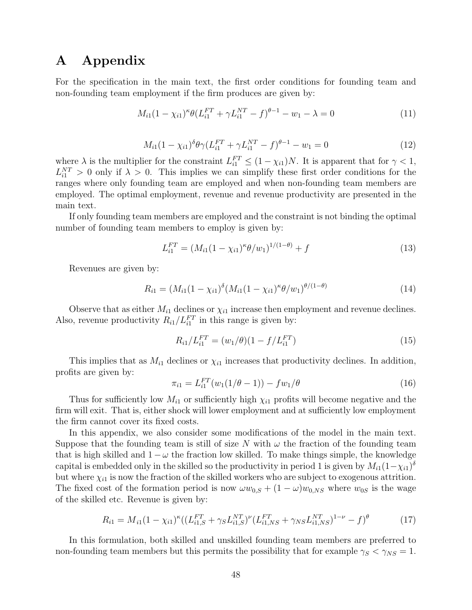### A Appendix

For the specification in the main text, the first order conditions for founding team and non-founding team employment if the firm produces are given by:

$$
M_{i1}(1 - \chi_{i1})^{\kappa} \theta (L_{i1}^{FT} + \gamma L_{i1}^{NT} - f)^{\theta - 1} - w_1 - \lambda = 0
$$
\n(11)

$$
M_{i1}(1 - \chi_{i1})^{\delta} \theta \gamma (L_{i1}^{FT} + \gamma L_{i1}^{NT} - f)^{\theta - 1} - w_1 = 0
$$
\n(12)

where  $\lambda$  is the multiplier for the constraint  $L_{i1}^{FT} \leq (1 - \chi_{i1})N$ . It is apparent that for  $\gamma < 1$ ,  $L_{i1}^{NT} > 0$  only if  $\lambda > 0$ . This implies we can simplify these first order conditions for the ranges where only founding team are employed and when non-founding team members are employed. The optimal employment, revenue and revenue productivity are presented in the main text.

If only founding team members are employed and the constraint is not binding the optimal number of founding team members to employ is given by:

$$
L_{i1}^{FT} = (M_{i1}(1 - \chi_{i1})^{\kappa} \theta / w_1)^{1/(1 - \theta)} + f \tag{13}
$$

Revenues are given by:

$$
R_{i1} = (M_{i1}(1 - \chi_{i1})^{\delta} (M_{i1}(1 - \chi_{i1})^{\kappa} \theta / w_1)^{\theta/(1 - \theta)}
$$
(14)

Observe that as either  $M_{i1}$  declines or  $\chi_{i1}$  increase then employment and revenue declines. Also, revenue productivity  $R_{i1}/L_{i1}^{FT}$  in this range is given by:

$$
R_{i1}/L_{i1}^{FT} = (w_1/\theta)(1 - f/L_{i1}^{FT})
$$
\n(15)

This implies that as  $M_{i1}$  declines or  $\chi_{i1}$  increases that productivity declines. In addition, profits are given by:

$$
\pi_{i1} = L_{i1}^{FT}(w_1(1/\theta - 1)) - fw_1/\theta \tag{16}
$$

Thus for sufficiently low  $M_{i1}$  or sufficiently high  $\chi_{i1}$  profits will become negative and the firm will exit. That is, either shock will lower employment and at sufficiently low employment the firm cannot cover its fixed costs.

In this appendix, we also consider some modifications of the model in the main text. Suppose that the founding team is still of size N with  $\omega$  the fraction of the founding team that is high skilled and  $1 - \omega$  the fraction low skilled. To make things simple, the knowledge capital is embedded only in the skilled so the productivity in period 1 is given by  $M_{i1}(1-\chi_{i1})^{\delta}$ but where  $\chi_{i1}$  is now the fraction of the skilled workers who are subject to exogenous attrition. The fixed cost of the formation period is now  $\omega w_{0,S} + (1 - \omega) w_{0,NS}$  where  $w_{0,S}$  is the wage of the skilled etc. Revenue is given by:

$$
R_{i1} = M_{i1} (1 - \chi_{i1})^{\kappa} ((L_{i1,S}^{FT} + \gamma_S L_{i1,S}^{NT})^{\nu} (L_{i1,NS}^{FT} + \gamma_{NS} L_{i1,NS}^{NT})^{1-\nu} - f)^{\theta}
$$
(17)

In this formulation, both skilled and unskilled founding team members are preferred to non-founding team members but this permits the possibility that for example  $\gamma_S < \gamma_{NS} = 1$ .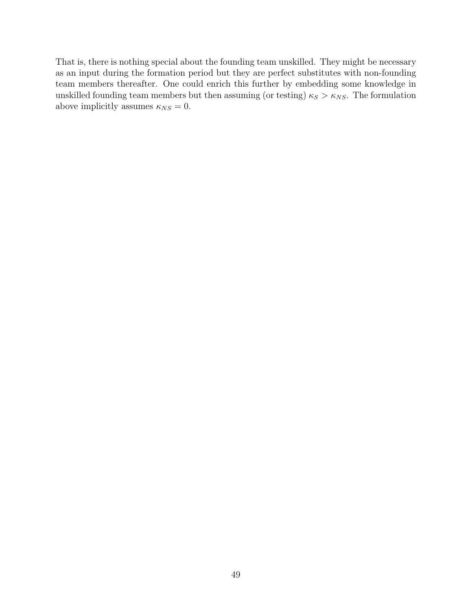That is, there is nothing special about the founding team unskilled. They might be necessary as an input during the formation period but they are perfect substitutes with non-founding team members thereafter. One could enrich this further by embedding some knowledge in unskilled founding team members but then assuming (or testing)  $\kappa_S > \kappa_{NS}$ . The formulation above implicitly assumes  $\kappa_{NS} = 0$ .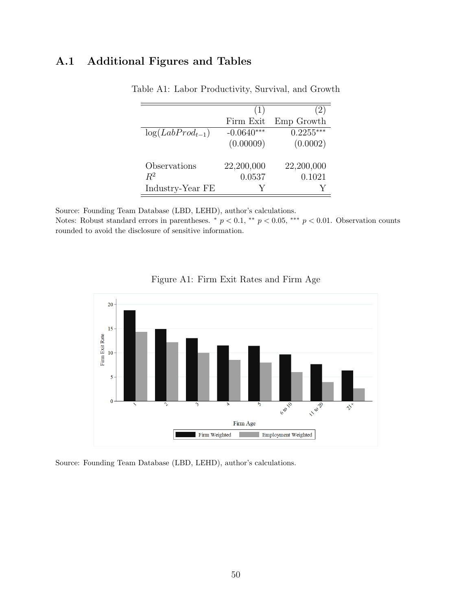### <span id="page-50-1"></span>A.1 Additional Figures and Tables

|                      | (1)          | (2)         |
|----------------------|--------------|-------------|
|                      | Firm Exit    | Emp Growth  |
| $log(LabProd_{t-1})$ | $-0.0640***$ | $0.2255***$ |
|                      | (0.00009)    | (0.0002)    |
| Observations         | 22,200,000   | 22,200,000  |
| $R^2$                | 0.0537       | 0.1021      |
| Industry-Year FE     |              |             |

Table A1: Labor Productivity, Survival, and Growth

Source: Founding Team Database (LBD, LEHD), author's calculations.

Notes: Robust standard errors in parentheses. \*  $p < 0.1$ , \*\*  $p < 0.05$ , \*\*\*  $p < 0.01$ . Observation counts rounded to avoid the disclosure of sensitive information.

<span id="page-50-0"></span>



Source: Founding Team Database (LBD, LEHD), author's calculations.